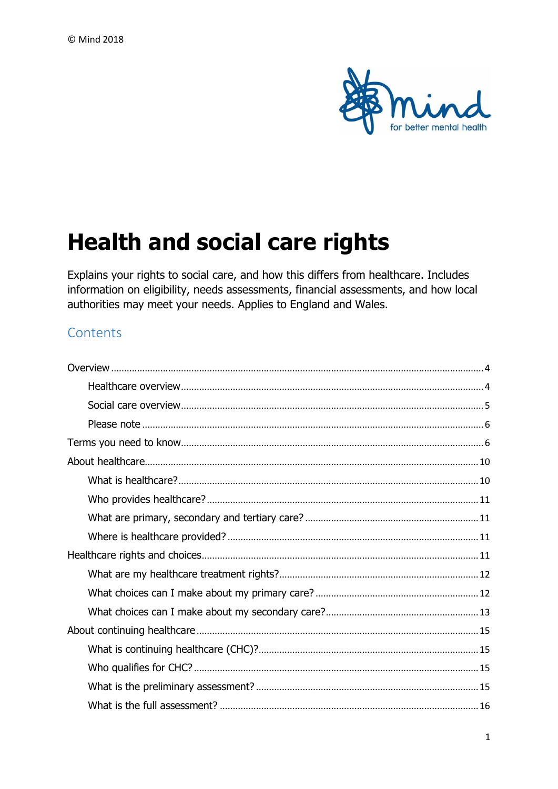

# **Health and social care rights**

Explains your rights to social care, and how this differs from healthcare. Includes information on eligibility, needs assessments, financial assessments, and how local authorities may meet your needs. Applies to England and Wales.

# Contents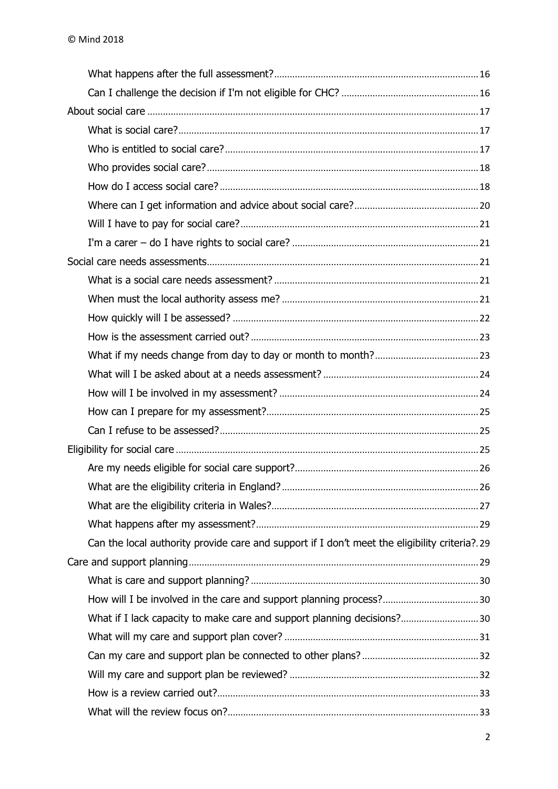| Can the local authority provide care and support if I don't meet the eligibility criteria?.29 |  |
|-----------------------------------------------------------------------------------------------|--|
|                                                                                               |  |
|                                                                                               |  |
|                                                                                               |  |
|                                                                                               |  |
|                                                                                               |  |
|                                                                                               |  |
|                                                                                               |  |
|                                                                                               |  |
|                                                                                               |  |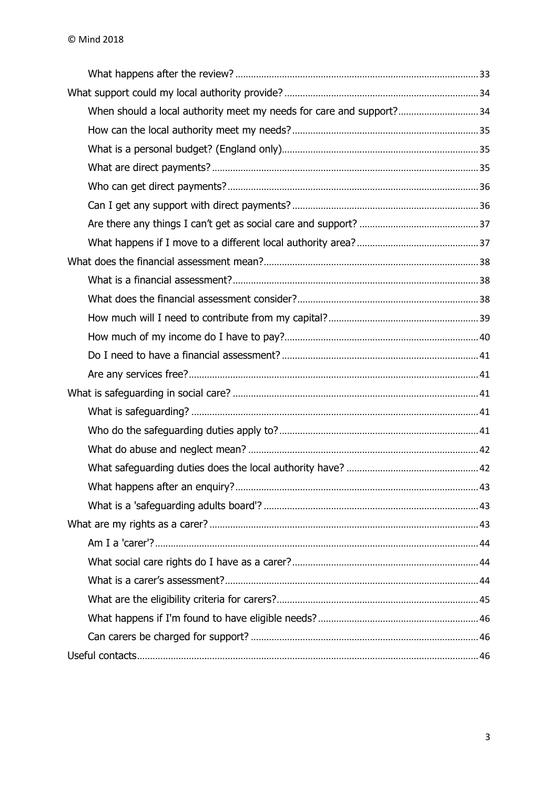| When should a local authority meet my needs for care and support? 34 |  |
|----------------------------------------------------------------------|--|
|                                                                      |  |
|                                                                      |  |
|                                                                      |  |
|                                                                      |  |
|                                                                      |  |
|                                                                      |  |
|                                                                      |  |
|                                                                      |  |
|                                                                      |  |
|                                                                      |  |
|                                                                      |  |
|                                                                      |  |
|                                                                      |  |
|                                                                      |  |
|                                                                      |  |
|                                                                      |  |
|                                                                      |  |
|                                                                      |  |
|                                                                      |  |
|                                                                      |  |
|                                                                      |  |
|                                                                      |  |
|                                                                      |  |
|                                                                      |  |
|                                                                      |  |
|                                                                      |  |
|                                                                      |  |
|                                                                      |  |
|                                                                      |  |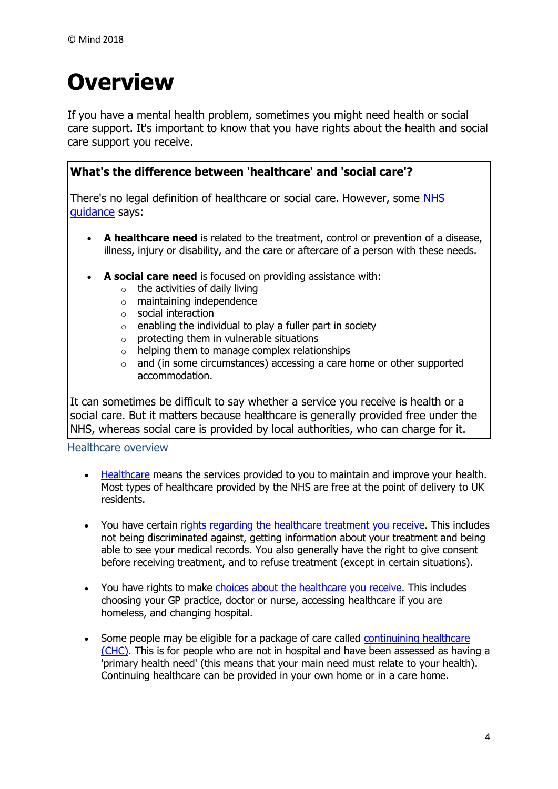# <span id="page-3-0"></span>**Overview**

If you have a mental health problem, sometimes you might need health or social care support. It's important to know that you have rights about the health and social care support you receive.

# **What's the difference between 'healthcare' and 'social care'?**

There's no legal definition of healthcare or social care. However, some NHS [guidance](https://www.gov.uk/government/publications/national-framework-for-nhs-continuing-healthcare-and-nhs-funded-nursing-care) says:

- **A healthcare need** is related to the treatment, control or prevention of a disease, illness, injury or disability, and the care or aftercare of a person with these needs.
- **A social care need** is focused on providing assistance with:
	- $\circ$  the activities of daily living
	- o maintaining independence
	- o social interaction
	- $\circ$  enabling the individual to play a fuller part in society
	- $\circ$  protecting them in vulnerable situations
	- $\circ$  helping them to manage complex relationships
	- o and (in some circumstances) accessing a care home or other supported accommodation.

It can sometimes be difficult to say whether a service you receive is health or a social care. But it matters because healthcare is generally provided free under the NHS, whereas social care is provided by local authorities, who can charge for it.

<span id="page-3-1"></span>Healthcare overview

- [Healthcare](https://www.mind.org.uk/information-support/legal-rights/health-and-social-care-rights/about-healthcare/) means the services provided to you to maintain and improve your health. Most types of healthcare provided by the NHS are free at the point of delivery to UK residents.
- You have certain rights regarding the [healthcare treatment you receive.](https://www.mind.org.uk/information-support/legal-rights/health-and-social-care-rights/your-healthcare-rights/) This includes not being discriminated against, getting information about your treatment and being able to see your medical records. You also generally have the right to give consent before receiving treatment, and to refuse treatment (except in certain situations).
- You have rights to make [choices about the healthcare you receive.](https://www.mind.org.uk/information-support/legal-rights/health-and-social-care-rights/your-healthcare-rights/#b) This includes choosing your GP practice, doctor or nurse, accessing healthcare if you are homeless, and changing hospital.
- Some people may be eligible for a package of care called continuining healthcare [\(CHC\).](https://www.mind.org.uk/information-support/legal-rights/health-and-social-care-rights/continuing-healthcare-chc/) This is for people who are not in hospital and have been assessed as having a 'primary health need' (this means that your main need must relate to your health). Continuing healthcare can be provided in your own home or in a care home.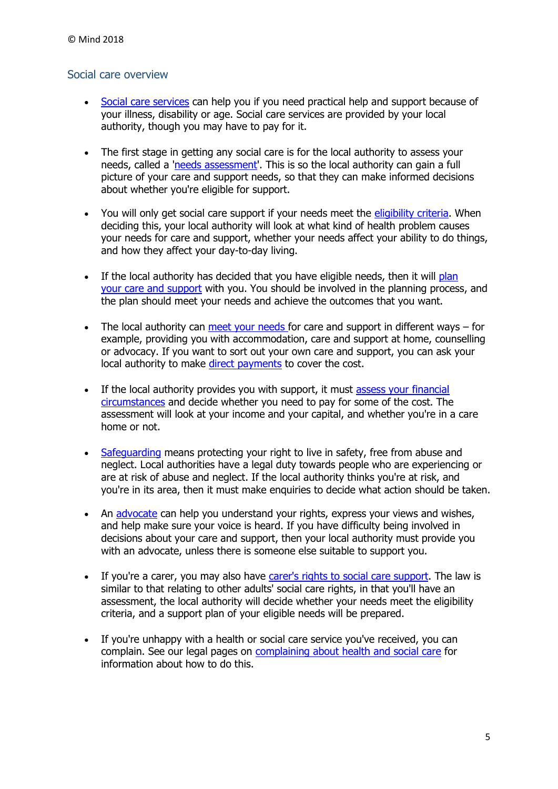#### <span id="page-4-0"></span>Social care overview

- [Social care services](https://www.mind.org.uk/information-support/legal-rights/health-and-social-care-rights/about-social-care/) can help you if you need practical help and support because of your illness, disability or age. Social care services are provided by your local authority, though you may have to pay for it.
- The first stage in getting any social care is for the local authority to assess your needs, called a ['needs assessment'.](https://www.mind.org.uk/information-support/legal-rights/health-and-social-care-rights/needs-assessments/) This is so the local authority can gain a full picture of your care and support needs, so that they can make informed decisions about whether you're eligible for support.
- You will only get social care support if your needs meet the [eligibility criteria.](https://www.mind.org.uk/information-support/legal-rights/health-and-social-care-rights/eligibility-for-social-care/) When deciding this, your local authority will look at what kind of health problem causes your needs for care and support, whether your needs affect your ability to do things, and how they affect your day-to-day living.
- If the local authority has decided that you have eligible needs, then it will plan your [care and support](https://www.mind.org.uk/information-support/legal-rights/health-and-social-care-rights/care-and-support-planning/) with you. You should be involved in the planning process, and the plan should meet your needs and achieve the outcomes that you want.
- $\bullet$  The local authority can [meet your needs f](https://www.mind.org.uk/information-support/legal-rights/health-and-social-care-rights/meeting-your-needs-personal-budgets-direct-payments/)or care and support in different ways  $-$  for example, providing you with accommodation, care and support at home, counselling or advocacy. If you want to sort out your own care and support, you can ask your local authority to make [direct payments](https://www.mind.org.uk/information-support/legal-rights/community-care-and-aftercare/meeting-my-needs-personal-budgets-direct-payments/#d) to cover the cost.
- If the local authority provides you with support, it must assess your financial [circumstances](https://www.mind.org.uk/information-support/legal-rights/health-and-social-care-rights/financial-assessments/) and decide whether you need to pay for some of the cost. The assessment will look at your income and your capital, and whether you're in a care home or not.
- [Safeguarding](https://www.mind.org.uk/information-support/legal-rights/health-and-social-care-rights/safeguarding-in-social-care/) means protecting your right to live in safety, free from abuse and neglect. Local authorities have a legal duty towards people who are experiencing or are at risk of abuse and neglect. If the local authority thinks you're at risk, and you're in its area, then it must make enquiries to decide what action should be taken.
- An [advocate](https://www.mind.org.uk/information-support/guides-to-support-and-services/advocacy/advocates-in-social-care/) can help you understand your rights, express your views and wishes, and help make sure your voice is heard. If you have difficulty being involved in decisions about your care and support, then your local authority must provide you with an advocate, unless there is someone else suitable to support you.
- If you're a carer, you may also have [carer's rights to social care support.](https://www.mind.org.uk/information-support/legal-rights/health-and-social-care-rights/carers-social-care-rights/) The law is similar to that relating to other adults' social care rights, in that you'll have an assessment, the local authority will decide whether your needs meet the eligibility criteria, and a support plan of your eligible needs will be prepared.
- If you're unhappy with a health or social care service you've received, you can complain. See our legal pages on [complaining about health and social care](https://www.mind.org.uk/information-support/legal-rights/complaining-about-health-and-social-care/) for information about how to do this.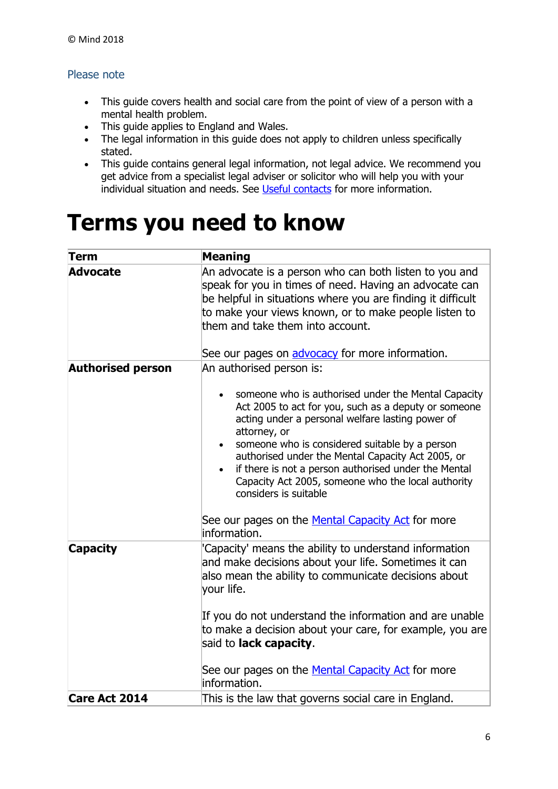### <span id="page-5-0"></span>Please note

- This guide covers health and social care from the point of view of a person with a mental health problem.
- This guide applies to England and Wales.
- The legal information in this guide does not apply to children unless specifically stated.
- This guide contains general legal information, not legal advice. We recommend you get advice from a specialist legal adviser or solicitor who will help you with your individual situation and needs. See [Useful contacts](https://www.mind.org.uk/information-support/legal-rights/health-and-social-care-rights/useful-contacts/) for more information.

# <span id="page-5-1"></span>**Terms you need to know**

| Term                     | <b>Meaning</b>                                                                                                                                                                                                                                                                                                                                                                                                                                                                     |
|--------------------------|------------------------------------------------------------------------------------------------------------------------------------------------------------------------------------------------------------------------------------------------------------------------------------------------------------------------------------------------------------------------------------------------------------------------------------------------------------------------------------|
| <b>Advocate</b>          | An advocate is a person who can both listen to you and<br>speak for you in times of need. Having an advocate can<br>be helpful in situations where you are finding it difficult<br>to make your views known, or to make people listen to<br>them and take them into account.<br>See our pages on advocacy for more information.                                                                                                                                                    |
| <b>Authorised person</b> | An authorised person is:                                                                                                                                                                                                                                                                                                                                                                                                                                                           |
|                          | someone who is authorised under the Mental Capacity<br>Act 2005 to act for you, such as a deputy or someone<br>acting under a personal welfare lasting power of<br>attorney, or<br>someone who is considered suitable by a person<br>authorised under the Mental Capacity Act 2005, or<br>if there is not a person authorised under the Mental<br>Capacity Act 2005, someone who the local authority<br>considers is suitable<br>See our pages on the Mental Capacity Act for more |
|                          | information.                                                                                                                                                                                                                                                                                                                                                                                                                                                                       |
| <b>Capacity</b>          | 'Capacity' means the ability to understand information<br>and make decisions about your life. Sometimes it can<br>also mean the ability to communicate decisions about<br>your life.<br>If you do not understand the information and are unable                                                                                                                                                                                                                                    |
|                          | to make a decision about your care, for example, you are<br>said to <b>lack capacity</b> .                                                                                                                                                                                                                                                                                                                                                                                         |
|                          | See our pages on the <b>Mental Capacity Act</b> for more<br>information.                                                                                                                                                                                                                                                                                                                                                                                                           |
| <b>Care Act 2014</b>     | This is the law that governs social care in England.                                                                                                                                                                                                                                                                                                                                                                                                                               |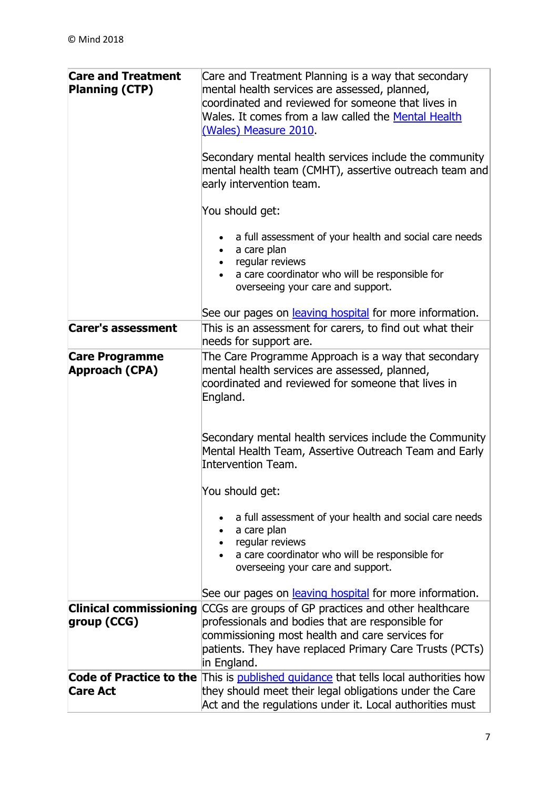| <b>Care and Treatment</b><br><b>Planning (CTP)</b> | Care and Treatment Planning is a way that secondary<br>mental health services are assessed, planned,<br>coordinated and reviewed for someone that lives in<br>Wales. It comes from a law called the Mental Health<br>(Wales) Measure 2010.<br>Secondary mental health services include the community<br>mental health team (CMHT), assertive outreach team and<br>early intervention team.<br>You should get:<br>a full assessment of your health and social care needs<br>a care plan<br>regular reviews<br>a care coordinator who will be responsible for |
|----------------------------------------------------|-------------------------------------------------------------------------------------------------------------------------------------------------------------------------------------------------------------------------------------------------------------------------------------------------------------------------------------------------------------------------------------------------------------------------------------------------------------------------------------------------------------------------------------------------------------|
|                                                    | overseeing your care and support.<br>See our pages on leaving hospital for more information.                                                                                                                                                                                                                                                                                                                                                                                                                                                                |
| <b>Carer's assessment</b>                          | This is an assessment for carers, to find out what their<br>needs for support are.                                                                                                                                                                                                                                                                                                                                                                                                                                                                          |
| <b>Care Programme</b><br><b>Approach (CPA)</b>     | The Care Programme Approach is a way that secondary<br>mental health services are assessed, planned,<br>coordinated and reviewed for someone that lives in<br>England.                                                                                                                                                                                                                                                                                                                                                                                      |
|                                                    | Secondary mental health services include the Community<br>Mental Health Team, Assertive Outreach Team and Early<br>Intervention Team.                                                                                                                                                                                                                                                                                                                                                                                                                       |
|                                                    | You should get:                                                                                                                                                                                                                                                                                                                                                                                                                                                                                                                                             |
|                                                    | a full assessment of your health and social care needs<br>a care plan<br>regular reviews<br>a care coordinator who will be responsible for<br>overseeing your care and support.                                                                                                                                                                                                                                                                                                                                                                             |
|                                                    | See our pages on leaving hospital for more information.                                                                                                                                                                                                                                                                                                                                                                                                                                                                                                     |
| <b>Clinical commissioning</b><br>group (CCG)       | CCGs are groups of GP practices and other healthcare<br>professionals and bodies that are responsible for<br>commissioning most health and care services for<br>patients. They have replaced Primary Care Trusts (PCTs)<br>in England.                                                                                                                                                                                                                                                                                                                      |
| <b>Code of Practice to the</b><br><b>Care Act</b>  | This is published guidance that tells local authorities how<br>they should meet their legal obligations under the Care<br>Act and the regulations under it. Local authorities must                                                                                                                                                                                                                                                                                                                                                                          |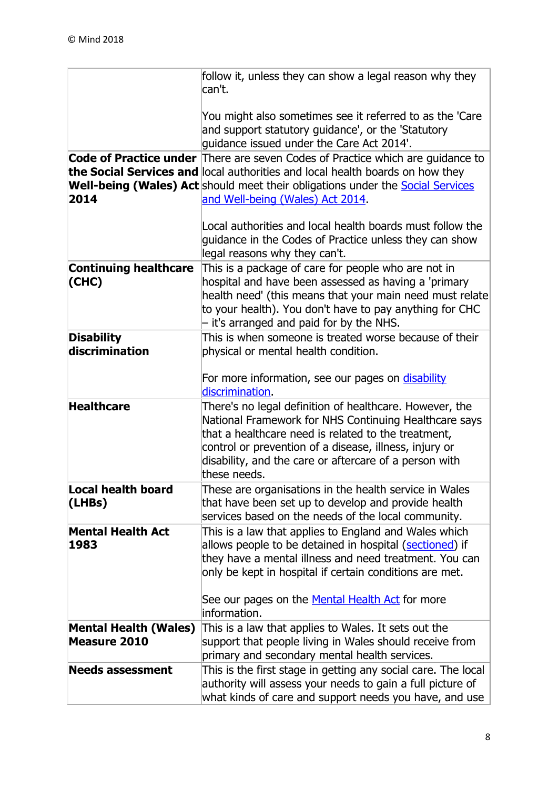|                                                     | follow it, unless they can show a legal reason why they<br>can't.                                                                                                                                                                                                                                           |
|-----------------------------------------------------|-------------------------------------------------------------------------------------------------------------------------------------------------------------------------------------------------------------------------------------------------------------------------------------------------------------|
|                                                     | You might also sometimes see it referred to as the 'Care<br>and support statutory guidance', or the 'Statutory<br>quidance issued under the Care Act 2014'.                                                                                                                                                 |
| 2014                                                | Code of Practice under There are seven Codes of Practice which are guidance to<br>the Social Services and local authorities and local health boards on how they<br>Well-being (Wales) Act should meet their obligations under the <b>Social Services</b><br>and Well-being (Wales) Act 2014.                |
|                                                     | Local authorities and local health boards must follow the<br>guidance in the Codes of Practice unless they can show<br>legal reasons why they can't.                                                                                                                                                        |
| <b>Continuing healthcare</b><br>(CHC)               | This is a package of care for people who are not in<br>hospital and have been assessed as having a 'primary<br>health need' (this means that your main need must relate<br>to your health). You don't have to pay anything for CHC<br>- it's arranged and paid for by the NHS.                              |
| <b>Disability</b><br>discrimination                 | This is when someone is treated worse because of their<br>physical or mental health condition.                                                                                                                                                                                                              |
|                                                     | For more information, see our pages on disability<br>discrimination.                                                                                                                                                                                                                                        |
| <b>Healthcare</b>                                   | There's no legal definition of healthcare. However, the<br>National Framework for NHS Continuing Healthcare says<br>that a healthcare need is related to the treatment,<br>control or prevention of a disease, illness, injury or<br>disability, and the care or aftercare of a person with<br>these needs. |
| <b>Local health board</b><br>(LHBs)                 | These are organisations in the health service in Wales<br>that have been set up to develop and provide health<br>services based on the needs of the local community.                                                                                                                                        |
| <b>Mental Health Act</b><br>1983                    | This is a law that applies to England and Wales which<br>allows people to be detained in hospital (sectioned) if<br>they have a mental illness and need treatment. You can<br>only be kept in hospital if certain conditions are met.                                                                       |
|                                                     | See our pages on the <u>Mental Health Act</u> for more<br>information.                                                                                                                                                                                                                                      |
| <b>Mental Health (Wales)</b><br><b>Measure 2010</b> | This is a law that applies to Wales. It sets out the<br>support that people living in Wales should receive from<br>primary and secondary mental health services.                                                                                                                                            |
| <b>Needs assessment</b>                             | This is the first stage in getting any social care. The local<br>authority will assess your needs to gain a full picture of<br>what kinds of care and support needs you have, and use                                                                                                                       |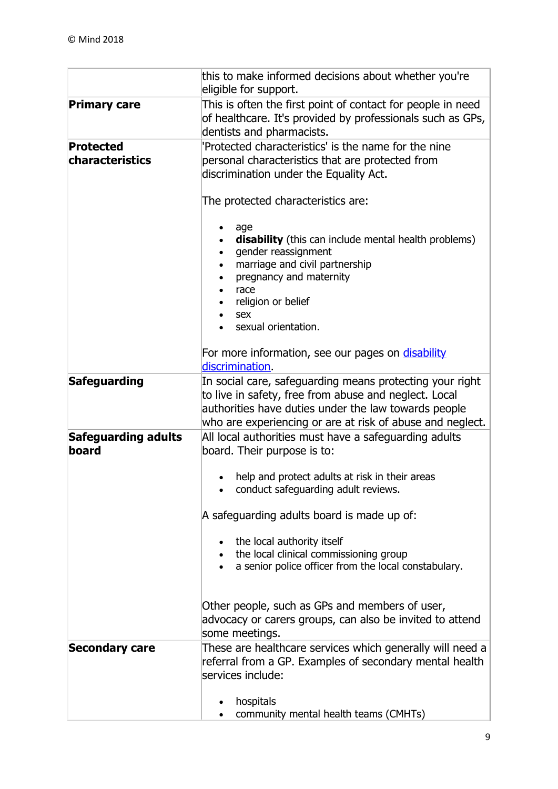|                                     | this to make informed decisions about whether you're<br>eligible for support.                                                                                                                                                          |
|-------------------------------------|----------------------------------------------------------------------------------------------------------------------------------------------------------------------------------------------------------------------------------------|
| <b>Primary care</b>                 | This is often the first point of contact for people in need<br>of healthcare. It's provided by professionals such as GPs,<br>dentists and pharmacists.                                                                                 |
| <b>Protected</b>                    | 'Protected characteristics' is the name for the nine                                                                                                                                                                                   |
| <b>characteristics</b>              | personal characteristics that are protected from<br>discrimination under the Equality Act.                                                                                                                                             |
|                                     | The protected characteristics are:                                                                                                                                                                                                     |
|                                     | age<br>disability (this can include mental health problems)<br>gender reassignment<br>marriage and civil partnership<br>pregnancy and maternity<br>race<br>religion or belief<br>sex<br>sexual orientation.                            |
|                                     | For more information, see our pages on disability<br>discrimination.                                                                                                                                                                   |
| Safeguarding                        | In social care, safeguarding means protecting your right<br>to live in safety, free from abuse and neglect. Local<br>authorities have duties under the law towards people<br>who are experiencing or are at risk of abuse and neglect. |
| <b>Safeguarding adults</b><br>board | All local authorities must have a safeguarding adults<br>board. Their purpose is to:                                                                                                                                                   |
|                                     | help and protect adults at risk in their areas<br>conduct safeguarding adult reviews.                                                                                                                                                  |
|                                     | A safeguarding adults board is made up of:                                                                                                                                                                                             |
|                                     | the local authority itself<br>the local clinical commissioning group<br>a senior police officer from the local constabulary.                                                                                                           |
|                                     | Other people, such as GPs and members of user,<br>advocacy or carers groups, can also be invited to attend<br>some meetings.                                                                                                           |
| <b>Secondary care</b>               | These are healthcare services which generally will need a<br>referral from a GP. Examples of secondary mental health<br>services include:                                                                                              |
|                                     | hospitals<br>community mental health teams (CMHTs)                                                                                                                                                                                     |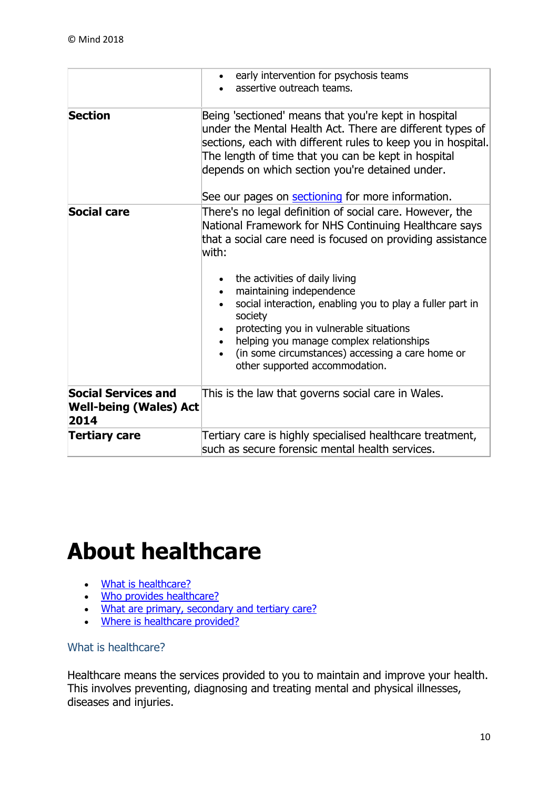|                                                                     | early intervention for psychosis teams<br>assertive outreach teams.                                                                                                                                                                                                                                                                                                                                                                                                                                         |
|---------------------------------------------------------------------|-------------------------------------------------------------------------------------------------------------------------------------------------------------------------------------------------------------------------------------------------------------------------------------------------------------------------------------------------------------------------------------------------------------------------------------------------------------------------------------------------------------|
| <b>Section</b>                                                      | Being 'sectioned' means that you're kept in hospital<br>under the Mental Health Act. There are different types of<br>sections, each with different rules to keep you in hospital.<br>The length of time that you can be kept in hospital<br>depends on which section you're detained under.<br>See our pages on <b>sectioning</b> for more information.                                                                                                                                                     |
| <b>Social care</b>                                                  | There's no legal definition of social care. However, the<br>National Framework for NHS Continuing Healthcare says<br>that a social care need is focused on providing assistance<br>with:<br>the activities of daily living<br>maintaining independence<br>social interaction, enabling you to play a fuller part in<br>society<br>protecting you in vulnerable situations<br>helping you manage complex relationships<br>(in some circumstances) accessing a care home or<br>other supported accommodation. |
| <b>Social Services and</b><br><b>Well-being (Wales) Act</b><br>2014 | This is the law that governs social care in Wales.                                                                                                                                                                                                                                                                                                                                                                                                                                                          |
| <b>Tertiary care</b>                                                | Tertiary care is highly specialised healthcare treatment,<br>such as secure forensic mental health services.                                                                                                                                                                                                                                                                                                                                                                                                |

# <span id="page-9-0"></span>**About healthcare**

- [What is healthcare?](https://www.mind.org.uk/information-support/legal-rights/health-and-social-care-rights/about-healthcare/#a)
- [Who provides healthcare?](https://www.mind.org.uk/information-support/legal-rights/health-and-social-care-rights/about-healthcare/#b)
- . [What are primary, secondary and tertiary care?](https://www.mind.org.uk/information-support/legal-rights/health-and-social-care-rights/about-healthcare/#d)
- . [Where is healthcare provided?](https://www.mind.org.uk/information-support/legal-rights/health-and-social-care-rights/about-healthcare/#c)

# <span id="page-9-1"></span>What is healthcare?

Healthcare means the services provided to you to maintain and improve your health. This involves preventing, diagnosing and treating mental and physical illnesses, diseases and injuries.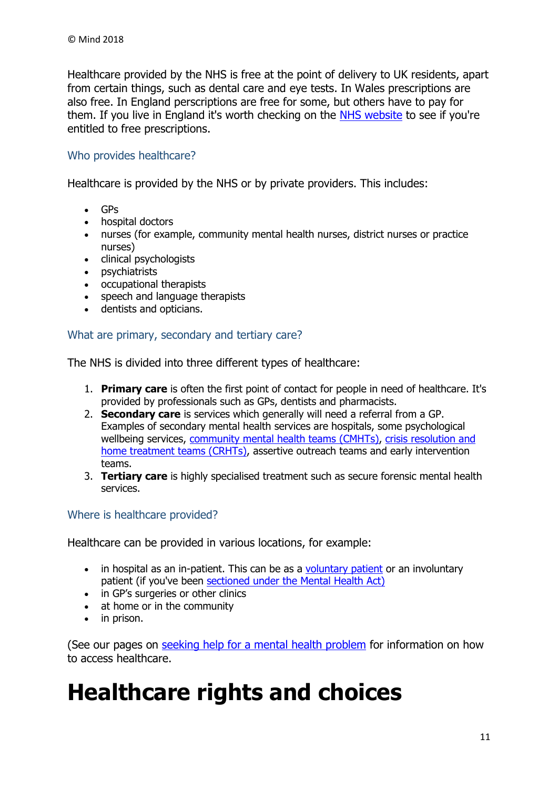Healthcare provided by the NHS is free at the point of delivery to UK residents, apart from certain things, such as dental care and eye tests. In Wales prescriptions are also free. In England perscriptions are free for some, but others have to pay for them. If you live in England it's worth checking on the [NHS website](http://www.nhs.uk/NHSEngland/Healthcosts/Pages/Prescriptioncosts.aspx) to see if you're entitled to free prescriptions.

#### <span id="page-10-0"></span>Who provides healthcare?

Healthcare is provided by the NHS or by private providers. This includes:

- GPs
- hospital doctors
- nurses (for example, community mental health nurses, district nurses or practice nurses)
- clinical psychologists
- psychiatrists
- occupational therapists
- speech and language therapists
- dentists and opticians.

#### <span id="page-10-1"></span>What are primary, secondary and tertiary care?

The NHS is divided into three different types of healthcare:

- 1. **Primary care** is often the first point of contact for people in need of healthcare. It's provided by professionals such as GPs, dentists and pharmacists.
- 2. **Secondary care** is services which generally will need a referral from a GP. Examples of secondary mental health services are hospitals, some psychological wellbeing services, [community mental health teams \(CMHTs\),](https://www.mind.org.uk/information-support/types-of-mental-health-problems/mental-health-problems-introduction/support-services/#a) [crisis resolution and](https://www.mind.org.uk/information-support/guides-to-support-and-services/crisis-services/crht-crisis-teams/)  [home treatment teams \(CRHTs\),](https://www.mind.org.uk/information-support/guides-to-support-and-services/crisis-services/crht-crisis-teams/) assertive outreach teams and early intervention teams.
- 3. **Tertiary care** is highly specialised treatment such as secure forensic mental health services.

#### <span id="page-10-2"></span>Where is healthcare provided?

Healthcare can be provided in various locations, for example:

- in hospital as an in-patient. This can be as a [voluntary patient](https://www.mind.org.uk/information-support/legal-rights/voluntary-patients/) or an involuntary patient (if you've been [sectioned under the Mental Health Act\)](https://www.mind.org.uk/information-support/legal-rights/sectioning/overview/)
- in GP's surgeries or other clinics
- at home or in the community
- in prison.

(See our pages on [seeking help for a mental health problem](https://www.mind.org.uk/information-support/guides-to-support-and-services/seeking-help-for-a-mental-health-problem/) for information on how to access healthcare.

# <span id="page-10-3"></span>**Healthcare rights and choices**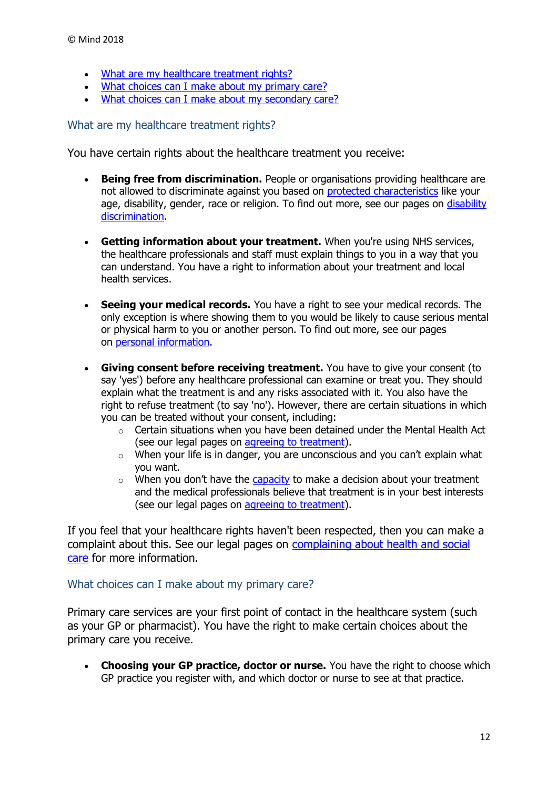- [What are my healthcare treatment rights?](https://www.mind.org.uk/information-support/legal-rights/health-and-social-care-rights/your-healthcare-rights/#a)
- [What choices can I make about my primary care?](https://www.mind.org.uk/information-support/legal-rights/health-and-social-care-rights/your-healthcare-rights/#b)
- [What choices can I make about my secondary care?](https://www.mind.org.uk/information-support/legal-rights/health-and-social-care-rights/your-healthcare-rights/#c)

<span id="page-11-0"></span>What are my healthcare treatment rights?

You have certain rights about the healthcare treatment you receive:

- **Being free from discrimination.** People or organisations providing healthcare are not allowed to discriminate against you based on [protected characteristics](https://www.mind.org.uk/information-support/legal-rights/community-care-and-aftercare/terms-you-need-to-know/#protected) like your age, disability, gender, race or religion. To find out more, see our pages on [disability](https://www.mind.org.uk/information-support/legal-rights/disability-discrimination/overview/)  [discrimination.](https://www.mind.org.uk/information-support/legal-rights/disability-discrimination/overview/)
- **Getting information about your treatment.** When you're using NHS services, the healthcare professionals and staff must explain things to you in a way that you can understand. You have a right to information about your treatment and local health services.
- **Seeing your medical records.** You have a right to see your medical records. The only exception is where showing them to you would be likely to cause serious mental or physical harm to you or another person. To find out more, see our pages on [personal information.](https://www.mind.org.uk/information-support/legal-rights/personal-information)
- **Giving consent before receiving treatment.** You have to give your consent (to say 'yes') before any healthcare professional can examine or treat you. They should explain what the treatment is and any risks associated with it. You also have the right to refuse treatment (to say 'no'). However, there are certain situations in which you can be treated without your consent, including:
	- o Certain situations when you have been detained under the Mental Health Act (see our legal pages on [agreeing to treatment\)](https://www.mind.org.uk/information-support/legal-rights/consent-to-treatment).
	- $\circ$  When your life is in danger, you are unconscious and you can't explain what you want.
	- $\circ$  When you don't have the [capacity](https://www.mind.org.uk/information-support/legal-rights/mental-capacity-act-2005/capacity/) to make a decision about your treatment and the medical professionals believe that treatment is in your best interests (see our legal pages on [agreeing to treatment\)](https://www.mind.org.uk/information-support/legal-rights/consent-to-treatment/mental-capacity-act/#.WnsdsE0iGM8).

If you feel that your healthcare rights haven't been respected, then you can make a complaint about this. See our legal pages on [complaining about health and social](https://www.mind.org.uk/information-support/legal-rights/complaining-about-health-and-social-care/#.WVEiLk1K2M8)  [care](https://www.mind.org.uk/information-support/legal-rights/complaining-about-health-and-social-care/#.WVEiLk1K2M8) for more information.

#### <span id="page-11-1"></span>What choices can I make about my primary care?

Primary care services are your first point of contact in the healthcare system (such as your GP or pharmacist). You have the right to make certain choices about the primary care you receive.

 **Choosing your GP practice, doctor or nurse.** You have the right to choose which GP practice you register with, and which doctor or nurse to see at that practice.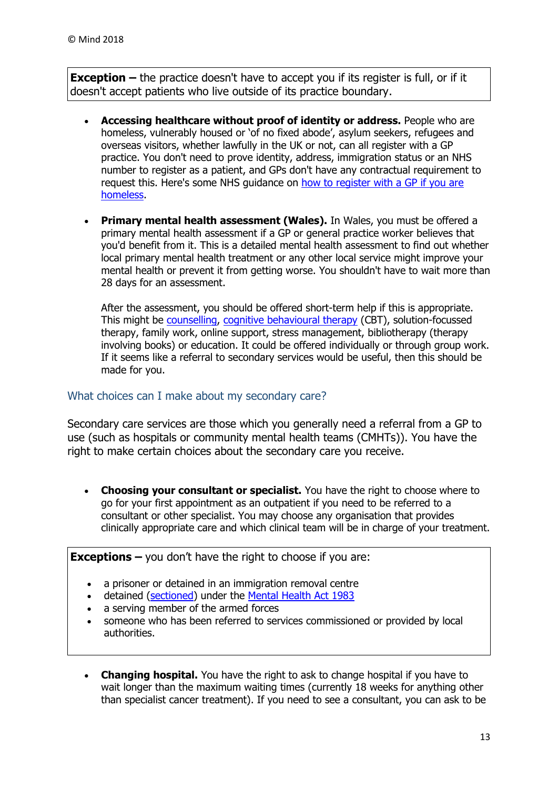**Exception** – the practice doesn't have to accept you if its register is full, or if it doesn't accept patients who live outside of its practice boundary.

- **Accessing healthcare without proof of identity or address.** People who are homeless, vulnerably housed or 'of no fixed abode', asylum seekers, refugees and overseas visitors, whether lawfully in the UK or not, can all register with a GP practice. You don't need to prove identity, address, immigration status or an NHS number to register as a patient, and GPs don't have any contractual requirement to request this. Here's some NHS guidance on [how to register with a GP if you are](http://www.nhs.uk/NHSEngland/AboutNHSservices/doctors/Documents/how-to-register-with-a-gp-homeless.pdf)  [homeless.](http://www.nhs.uk/NHSEngland/AboutNHSservices/doctors/Documents/how-to-register-with-a-gp-homeless.pdf)
- **Primary mental health assessment (Wales).** In Wales, you must be offered a primary mental health assessment if a GP or general practice worker believes that you'd benefit from it. This is a detailed mental health assessment to find out whether local primary mental health treatment or any other local service might improve your mental health or prevent it from getting worse. You shouldn't have to wait more than 28 days for an assessment.

After the assessment, you should be offered short-term help if this is appropriate. This might be [counselling,](https://www.mind.org.uk/information-support/drugs-and-treatments/talking-treatments/types-of-talking-treatments/#counselling) [cognitive behavioural therapy](https://www.mind.org.uk/information-support/drugs-and-treatments/cognitive-behavioural-therapy-cbt) (CBT), solution-focussed therapy, family work, online support, stress management, bibliotherapy (therapy involving books) or education. It could be offered individually or through group work. If it seems like a referral to secondary services would be useful, then this should be made for you.

#### <span id="page-12-0"></span>What choices can I make about my secondary care?

Secondary care services are those which you generally need a referral from a GP to use (such as hospitals or community mental health teams (CMHTs)). You have the right to make certain choices about the secondary care you receive.

 **Choosing your consultant or specialist.** You have the right to choose where to go for your first appointment as an outpatient if you need to be referred to a consultant or other specialist. You may choose any organisation that provides clinically appropriate care and which clinical team will be in charge of your treatment.

**Exceptions –** you don't have the right to choose if you are:

- a prisoner or detained in an immigration removal centre
- detained [\(sectioned\)](https://www.mind.org.uk/information-support/legal-rights/sectioning/) under the [Mental Health Act 1983](https://www.mind.org.uk/information-support/legal-rights/mental-health-act-1983/)
- a serving member of the armed forces
- someone who has been referred to services commissioned or provided by local authorities.
- **Changing hospital.** You have the right to ask to change hospital if you have to wait longer than the maximum waiting times (currently 18 weeks for anything other than specialist cancer treatment). If you need to see a consultant, you can ask to be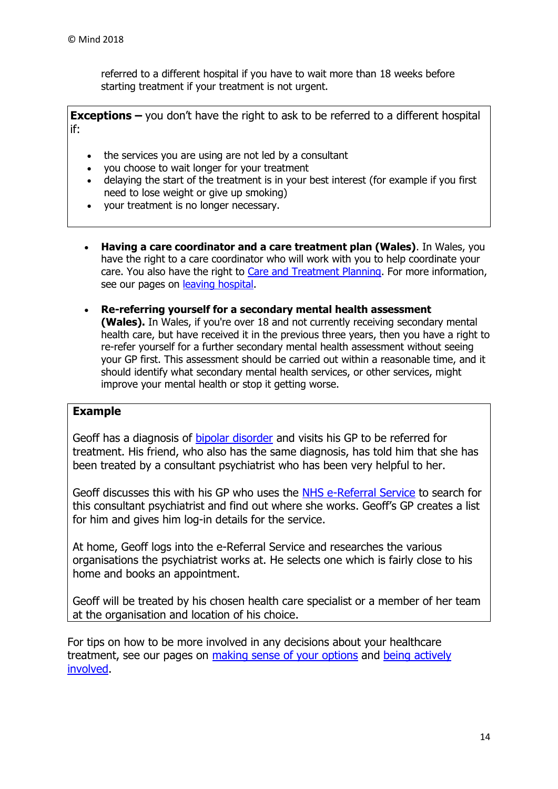referred to a different hospital if you have to wait more than 18 weeks before starting treatment if your treatment is not urgent.

**Exceptions –** you don't have the right to ask to be referred to a different hospital if:

- the services you are using are not led by a consultant
- you choose to wait longer for your treatment
- delaying the start of the treatment is in your best interest (for example if you first need to lose weight or give up smoking)
- your treatment is no longer necessary.
- **Having a care coordinator and a care treatment plan (Wales)**. In Wales, you have the right to a care coordinator who will work with you to help coordinate your care. You also have the right to [Care and Treatment Planning.](https://www.mind.org.uk/information-support/legal-rights/community-care-and-aftercare/terms-you-need-to-know/#ctp) For more information, see our pages on [leaving hospital.](https://www.mind.org.uk/information-support/legal-rights/leaving-hospital/care-planning/#CTP)
- **Re-referring yourself for a secondary mental health assessment (Wales).** In Wales, if you're over 18 and not currently receiving secondary mental health care, but have received it in the previous three years, then you have a right to re-refer yourself for a further secondary mental health assessment without seeing your GP first. This assessment should be carried out within a reasonable time, and it should identify what secondary mental health services, or other services, might improve your mental health or stop it getting worse.

#### **Example**

Geoff has a diagnosis of [bipolar disorder](https://www.mind.org.uk/information-support/types-of-mental-health-problems/bipolar-disorder/) and visits his GP to be referred for treatment. His friend, who also has the same diagnosis, has told him that she has been treated by a consultant psychiatrist who has been very helpful to her.

Geoff discusses this with his GP who uses the [NHS e-Referral Service](https://www.nhs.uk/NHSEngland/appointment-booking/Pages/about-the-referral-system.aspx) to search for this consultant psychiatrist and find out where she works. Geoff's GP creates a list for him and gives him log-in details for the service.

At home, Geoff logs into the e-Referral Service and researches the various organisations the psychiatrist works at. He selects one which is fairly close to his home and books an appointment.

Geoff will be treated by his chosen health care specialist or a member of her team at the organisation and location of his choice.

For tips on how to be more involved in any decisions about your healthcare treatment, see our pages on [making sense of your options](https://www.mind.org.uk/information-support/guides-to-support-and-services/seeking-help-for-a-mental-health-problem/making-sense-of-your-options/) and [being actively](https://www.mind.org.uk/information-support/guides-to-support-and-services/seeking-help-for-a-mental-health-problem/being-actively-involved/)  [involved.](https://www.mind.org.uk/information-support/guides-to-support-and-services/seeking-help-for-a-mental-health-problem/being-actively-involved/)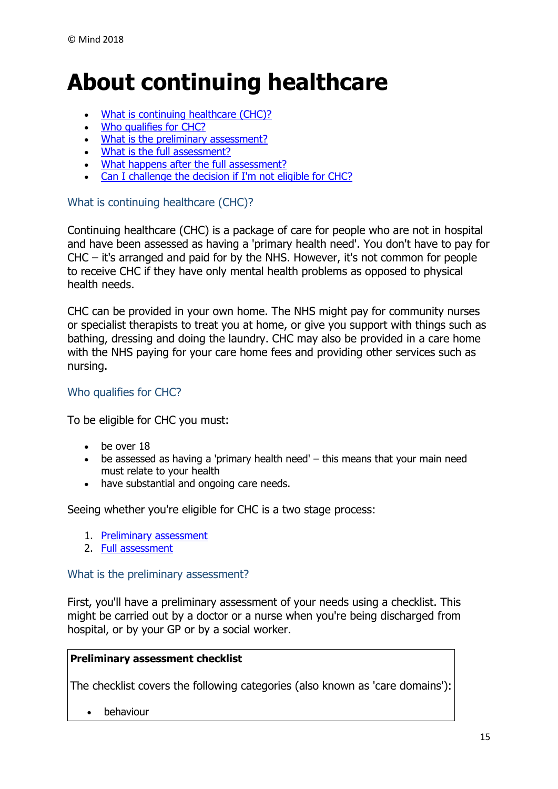# <span id="page-14-0"></span>**About continuing healthcare**

- . [What is continuing healthcare \(CHC\)?](https://www.mind.org.uk/information-support/legal-rights/health-and-social-care-rights/continuing-healthcare-chc/#a)
- [Who qualifies for CHC?](https://www.mind.org.uk/information-support/legal-rights/health-and-social-care-rights/continuing-healthcare-chc/#b)
- [What is the preliminary assessment?](https://www.mind.org.uk/information-support/legal-rights/health-and-social-care-rights/continuing-healthcare-chc/#c)
- [What is the full assessment?](https://www.mind.org.uk/information-support/legal-rights/health-and-social-care-rights/continuing-healthcare-chc/#d)
- [What happens after the full assessment?](https://www.mind.org.uk/information-support/legal-rights/health-and-social-care-rights/continuing-healthcare-chc/#e)
- [Can I challenge the decision if I'm not eligible for CHC?](https://www.mind.org.uk/information-support/legal-rights/health-and-social-care-rights/continuing-healthcare-chc/#f)

#### <span id="page-14-1"></span>What is continuing healthcare (CHC)?

Continuing healthcare (CHC) is a package of care for people who are not in hospital and have been assessed as having a 'primary health need'. You don't have to pay for CHC – it's arranged and paid for by the NHS. However, it's not common for people to receive CHC if they have only mental health problems as opposed to physical health needs.

CHC can be provided in your own home. The NHS might pay for community nurses or specialist therapists to treat you at home, or give you support with things such as bathing, dressing and doing the laundry. CHC may also be provided in a care home with the NHS paying for your care home fees and providing other services such as nursing.

#### <span id="page-14-2"></span>Who qualifies for CHC?

To be eligible for CHC you must:

- be over 18
- be assessed as having a 'primary health need' this means that your main need must relate to your health
- have substantial and ongoing care needs.

Seeing whether you're eligible for CHC is a two stage process:

- 1. [Preliminary assessment](https://www.mind.org.uk/information-support/legal-rights/health-and-social-care-rights/continuing-healthcare-chc/#c)
- 2. [Full assessment](https://www.mind.org.uk/information-support/legal-rights/health-and-social-care-rights/continuing-healthcare-chc/#d)

#### <span id="page-14-3"></span>What is the preliminary assessment?

First, you'll have a preliminary assessment of your needs using a checklist. This might be carried out by a doctor or a nurse when you're being discharged from hospital, or by your GP or by a social worker.

#### **Preliminary assessment checklist**

The checklist covers the following categories (also known as 'care domains'):

• behaviour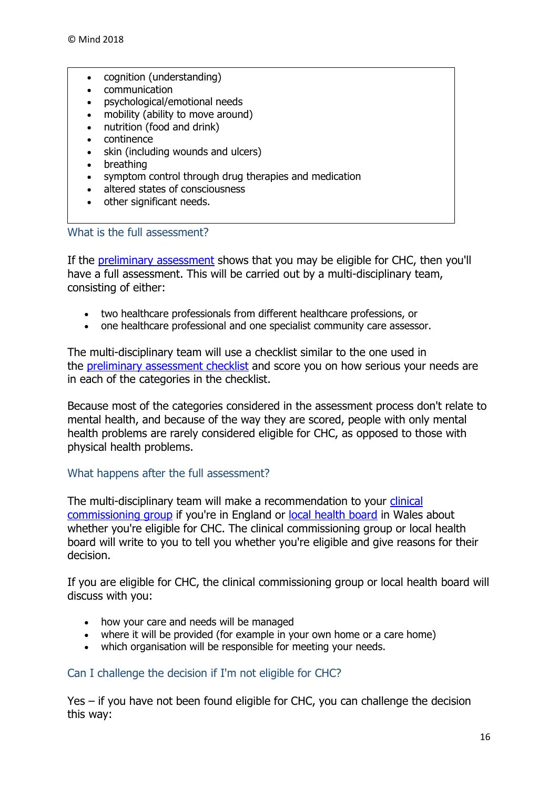- cognition (understanding)
- communication
- psychological/emotional needs
- mobility (ability to move around)
- nutrition (food and drink)
- continence
- skin (including wounds and ulcers)
- breathing
- symptom control through drug therapies and medication
- altered states of consciousness
- other significant needs.

<span id="page-15-0"></span>What is the full assessment?

If the [preliminary assessment](https://www.mind.org.uk/information-support/legal-rights/health-and-social-care-rights/continuing-healthcare-chc/#c) shows that you may be eligible for CHC, then you'll have a full assessment. This will be carried out by a multi-disciplinary team, consisting of either:

- two healthcare professionals from different healthcare professions, or
- one healthcare professional and one specialist community care assessor.

The multi-disciplinary team will use a checklist similar to the one used in the [preliminary assessment checklist](https://www.mind.org.uk/information-support/legal-rights/health-and-social-care-rights/continuing-healthcare-chc/#checklist) and score you on how serious your needs are in each of the categories in the checklist.

Because most of the categories considered in the assessment process don't relate to mental health, and because of the way they are scored, people with only mental health problems are rarely considered eligible for CHC, as opposed to those with physical health problems.

#### <span id="page-15-1"></span>What happens after the full assessment?

The multi-disciplinary team will make a recommendation to your [clinical](https://www.mind.org.uk/information-support/legal-rights/community-care-and-aftercare/terms-you-need-to-know/#ccg)  [commissioning group](https://www.mind.org.uk/information-support/legal-rights/community-care-and-aftercare/terms-you-need-to-know/#ccg) if you're in England or [local health board](https://www.mind.org.uk/information-support/legal-rights/community-care-and-aftercare/terms-you-need-to-know/#lhbs) in Wales about whether you're eligible for CHC. The clinical commissioning group or local health board will write to you to tell you whether you're eligible and give reasons for their decision.

If you are eligible for CHC, the clinical commissioning group or local health board will discuss with you:

- how your care and needs will be managed
- where it will be provided (for example in your own home or a care home)
- which organisation will be responsible for meeting your needs.

#### <span id="page-15-2"></span>Can I challenge the decision if I'm not eligible for CHC?

Yes – if you have not been found eligible for CHC, you can challenge the decision this way: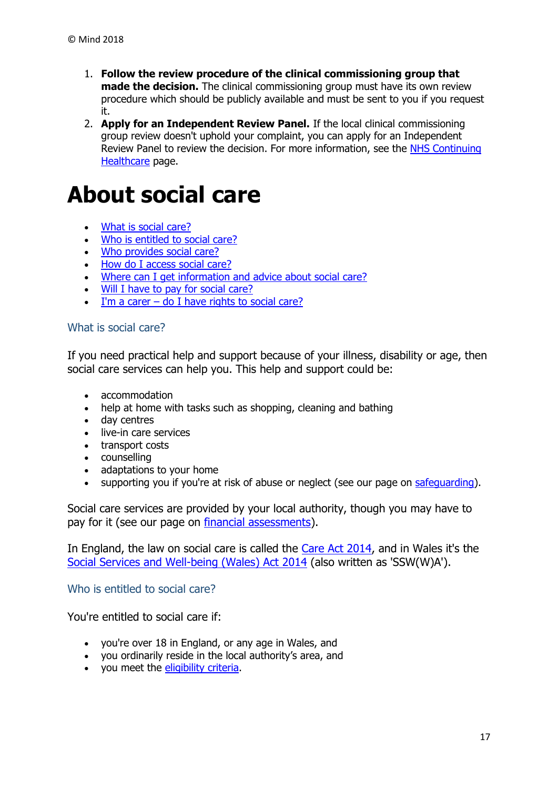- 1. **Follow the review procedure of the clinical commissioning group that made the decision.** The clinical commissioning group must have its own review procedure which should be publicly available and must be sent to you if you request it.
- 2. **Apply for an Independent Review Panel.** If the local clinical commissioning group review doesn't uphold your complaint, you can apply for an Independent Review Panel to review the decision. For more information, see the [NHS Continuing](https://www.england.nhs.uk/healthcare/)  [Healthcare](https://www.england.nhs.uk/healthcare/) page.

# <span id="page-16-0"></span>**About social care**

- [What is social care?](https://www.mind.org.uk/information-support/legal-rights/health-and-social-care-rights/about-social-care/#a)
- [Who is entitled to social care?](https://www.mind.org.uk/information-support/legal-rights/health-and-social-care-rights/about-social-care/#b)
- [Who provides social care?](https://www.mind.org.uk/information-support/legal-rights/health-and-social-care-rights/about-social-care/#c)
- [How do I access social care?](https://www.mind.org.uk/information-support/legal-rights/health-and-social-care-rights/about-social-care/#d)
- [Where can I get information and advice about social care?](https://www.mind.org.uk/information-support/legal-rights/health-and-social-care-rights/about-social-care/#e)
- . [Will I have to pay for social care?](https://www.mind.org.uk/information-support/legal-rights/health-and-social-care-rights/about-social-care/#f)
- I'm a carer  $-$  [do I have rights to social care?](https://www.mind.org.uk/information-support/legal-rights/health-and-social-care-rights/about-social-care/#g)

#### <span id="page-16-1"></span>What is social care?

If you need practical help and support because of your illness, disability or age, then social care services can help you. This help and support could be:

- accommodation
- help at home with tasks such as shopping, cleaning and bathing
- day centres
- live-in care services
- transport costs
- counselling
- adaptations to your home
- supporting you if you're at risk of abuse or neglect (see our page on [safeguarding\)](https://www.mind.org.uk/information-support/legal-rights/health-and-social-care-rights/safeguarding-in-social-care/).

Social care services are provided by your local authority, though you may have to pay for it (see our page on [financial assessments\)](https://www.mind.org.uk/information-support/legal-rights/health-and-social-care-rights/financial-assessments/).

In England, the law on social care is called the [Care Act 2014,](https://www.mind.org.uk/information-support/legal-rights/community-care-and-aftercare/terms-you-need-to-know/#careact) and in Wales it's the [Social Services and Well-being \(Wales\) Act 2014](https://www.mind.org.uk/information-support/legal-rights/community-care-and-aftercare/terms-you-need-to-know/#sswa) (also written as 'SSW(W)A').

<span id="page-16-2"></span>Who is entitled to social care?

You're entitled to social care if:

- you're over 18 in England, or any age in Wales, and
- you ordinarily reside in the local authority's area, and
- you meet the [eligibility criteria.](https://www.mind.org.uk/information-support/legal-rights/health-and-social-care-rights/eligibility-for-social-care/)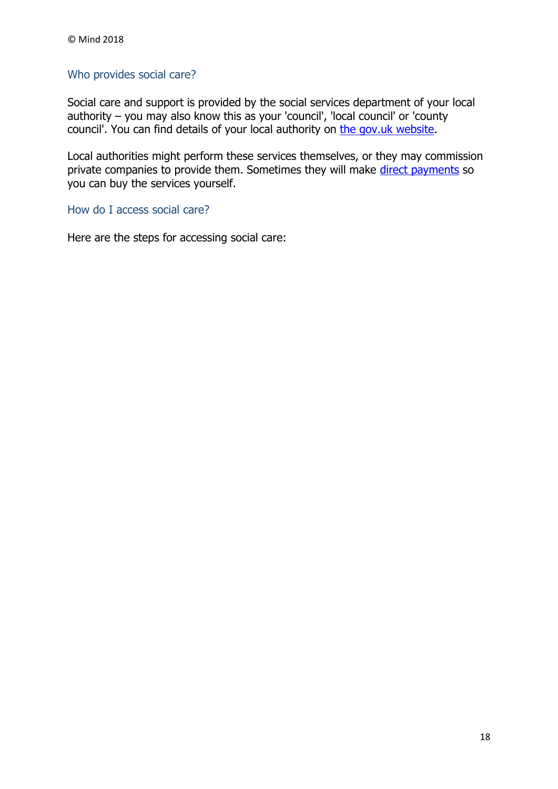# <span id="page-17-0"></span>Who provides social care?

Social care and support is provided by the social services department of your local authority – you may also know this as your 'council', 'local council' or 'county council'. You can find details of your local authority on [the gov.uk website.](https://www.gov.uk/find-local-council)

Local authorities might perform these services themselves, or they may commission private companies to provide them. Sometimes they will make direct [payments](https://www.mind.org.uk/information-support/legal-rights/community-care-and-aftercare/meeting-my-needs-personal-budgets-direct-payments/#d) so you can buy the services yourself.

<span id="page-17-1"></span>How do I access social care?

Here are the steps for accessing social care: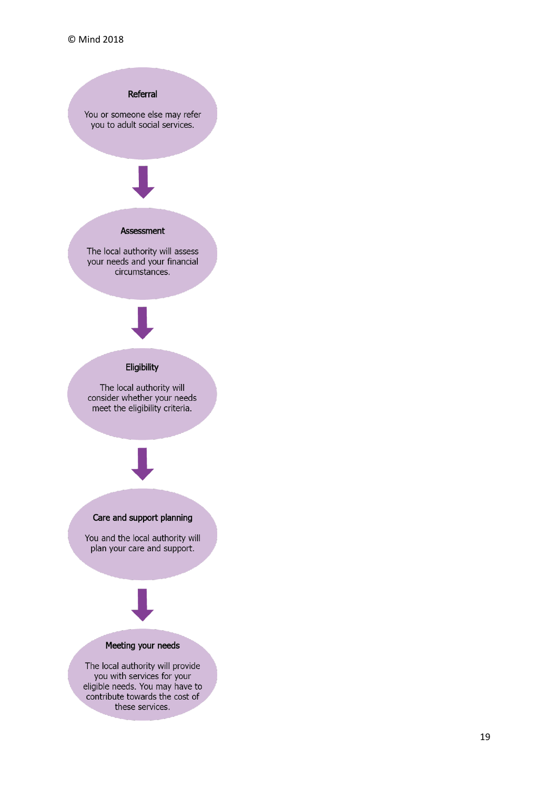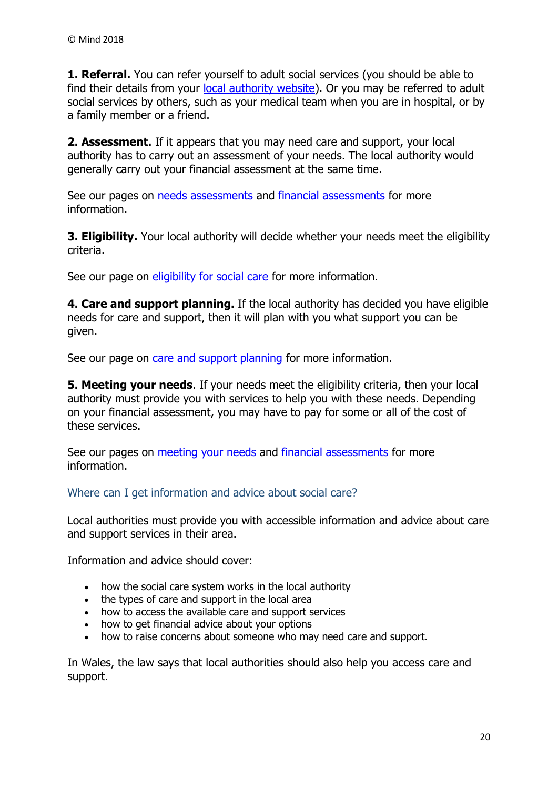**1. Referral.** You can refer yourself to adult social services (you should be able to find their details from your [local authority website\)](https://www.gov.uk/find-local-council). Or you may be referred to adult social services by others, such as your medical team when you are in hospital, or by a family member or a friend.

**2. Assessment.** If it appears that you may need care and support, your local authority has to carry out an assessment of your needs. The local authority would generally carry out your financial assessment at the same time.

See our pages on [needs assessments](https://www.mind.org.uk/information-support/legal-rights/health-and-social-care-rights/needs-assessments/) and [financial assessments](https://www.mind.org.uk/information-support/legal-rights/health-and-social-care-rights/financial-assessments/) for more information.

**3. Eligibility.** Your local authority will decide whether your needs meet the eligibility criteria.

See our page on [eligibility for social care](https://www.mind.org.uk/information-support/legal-rights/health-and-social-care-rights/eligibility-for-social-care/) for more information.

**4. Care and support planning.** If the local authority has decided you have eligible needs for care and support, then it will plan with you what support you can be given.

See our page on [care and support planning](https://www.mind.org.uk/information-support/legal-rights/health-and-social-care-rights/care-and-support-planning/) for more information.

**5. Meeting your needs**. If your needs meet the eligibility criteria, then your local authority must provide you with services to help you with these needs. Depending on your financial assessment, you may have to pay for some or all of the cost of these services.

See our pages on [meeting your needs](https://www.mind.org.uk/information-support/legal-rights/health-and-social-care-rights/meeting-your-needs-personal-budgets-direct-payments/) and [financial assessments](https://www.mind.org.uk/information-support/legal-rights/health-and-social-care-rights/financial-assessments/) for more information.

<span id="page-19-0"></span>Where can I get information and advice about social care?

Local authorities must provide you with accessible information and advice about care and support services in their area.

Information and advice should cover:

- how the social care system works in the local authority
- the types of care and support in the local area
- how to access the available care and support services
- how to get financial advice about your options
- how to raise concerns about someone who may need care and support.

In Wales, the law says that local authorities should also help you access care and support.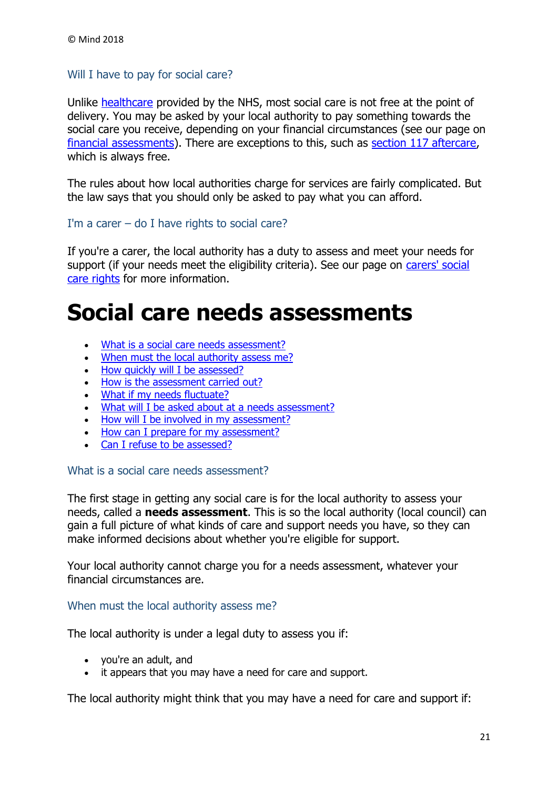#### <span id="page-20-0"></span>Will I have to pay for social care?

Unlike [healthcare](https://www.mind.org.uk/information-support/legal-rights/health-and-social-care-rights/about-healthcare/) provided by the NHS, most social care is not free at the point of delivery. You may be asked by your local authority to pay something towards the social care you receive, depending on your financial circumstances (see our page on [financial assessments\)](https://www.mind.org.uk/information-support/legal-rights/health-and-social-care-rights/financial-assessments/). There are exceptions to this, such as [section 117 aftercare,](https://www.mind.org.uk/information-support/legal-rights/leaving-hospital/section-117-aftercare/) which is always free.

The rules about how local authorities charge for services are fairly complicated. But the law says that you should only be asked to pay what you can afford.

#### <span id="page-20-1"></span>I'm a carer  $-$  do I have rights to social care?

If you're a carer, the local authority has a duty to assess and meet your needs for support (if your needs meet the eligibility criteria). See our page on [carers' social](https://www.mind.org.uk/information-support/legal-rights/health-and-social-care-rights/carers-social-care-rights/)  [care rights](https://www.mind.org.uk/information-support/legal-rights/health-and-social-care-rights/carers-social-care-rights/) for more information.

# <span id="page-20-2"></span>**Social care needs assessments**

- [What is a social care needs assessment?](https://www.mind.org.uk/information-support/legal-rights/health-and-social-care-rights/needs-assessments/#a)
- [When must the local authority assess me?](https://www.mind.org.uk/information-support/legal-rights/health-and-social-care-rights/needs-assessments/#b)
- [How quickly will I be assessed?](https://www.mind.org.uk/information-support/legal-rights/health-and-social-care-rights/needs-assessments/#c)
- [How is the assessment carried out?](https://www.mind.org.uk/information-support/legal-rights/health-and-social-care-rights/needs-assessments/#d)
- [What if my needs fluctuate?](https://www.mind.org.uk/information-support/legal-rights/health-and-social-care-rights/needs-assessments/#e)
- [What will I be asked about at a needs assessment?](https://www.mind.org.uk/information-support/legal-rights/health-and-social-care-rights/needs-assessments/#f)
- [How will I be involved in my assessment?](https://www.mind.org.uk/information-support/legal-rights/health-and-social-care-rights/needs-assessments/#g)
- [How can I prepare for my assessment?](https://www.mind.org.uk/information-support/legal-rights/health-and-social-care-rights/needs-assessments/#h)
- [Can I refuse to be assessed?](https://www.mind.org.uk/information-support/legal-rights/health-and-social-care-rights/needs-assessments/#i)

#### <span id="page-20-3"></span>What is a social care needs assessment?

The first stage in getting any social care is for the local authority to assess your needs, called a **needs assessment**. This is so the local authority (local council) can gain a full picture of what kinds of care and support needs you have, so they can make informed decisions about whether you're eligible for support.

Your local authority cannot charge you for a needs assessment, whatever your financial circumstances are.

#### <span id="page-20-4"></span>When must the local authority assess me?

The local authority is under a legal duty to assess you if:

- you're an adult, and
- it appears that you may have a need for care and support.

The local authority might think that you may have a need for care and support if: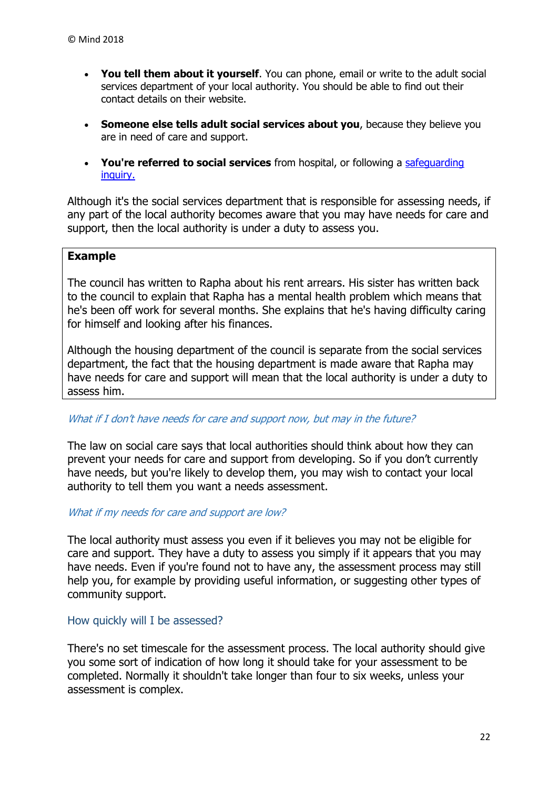- **You tell them about it yourself**. You can phone, email or write to the adult social services department of your local authority. You should be able to find out their contact details on their website.
- **Someone else tells adult social services about you**, because they believe you are in need of care and support.
- **You're referred to social services** from hospital, or following a [safeguarding](https://www.mind.org.uk/information-support/legal-rights/health-and-social-care-rights/safeguarding-in-social-care/)  [inquiry.](https://www.mind.org.uk/information-support/legal-rights/health-and-social-care-rights/safeguarding-in-social-care/)

Although it's the social services department that is responsible for assessing needs, if any part of the local authority becomes aware that you may have needs for care and support, then the local authority is under a duty to assess you.

#### **Example**

The council has written to Rapha about his rent arrears. His sister has written back to the council to explain that Rapha has a mental health problem which means that he's been off work for several months. She explains that he's having difficulty caring for himself and looking after his finances.

Although the housing department of the council is separate from the social services department, the fact that the housing department is made aware that Rapha may have needs for care and support will mean that the local authority is under a duty to assess him.

#### What if I don't have needs for care and support now, but may in the future?

The law on social care says that local authorities should think about how they can prevent your needs for care and support from developing. So if you don't currently have needs, but you're likely to develop them, you may wish to contact your local authority to tell them you want a needs assessment.

#### What if my needs for care and support are low?

The local authority must assess you even if it believes you may not be eligible for care and support. They have a duty to assess you simply if it appears that you may have needs. Even if you're found not to have any, the assessment process may still help you, for example by providing useful information, or suggesting other types of community support.

#### <span id="page-21-0"></span>How quickly will I be assessed?

There's no set timescale for the assessment process. The local authority should give you some sort of indication of how long it should take for your assessment to be completed. Normally it shouldn't take longer than four to six weeks, unless your assessment is complex.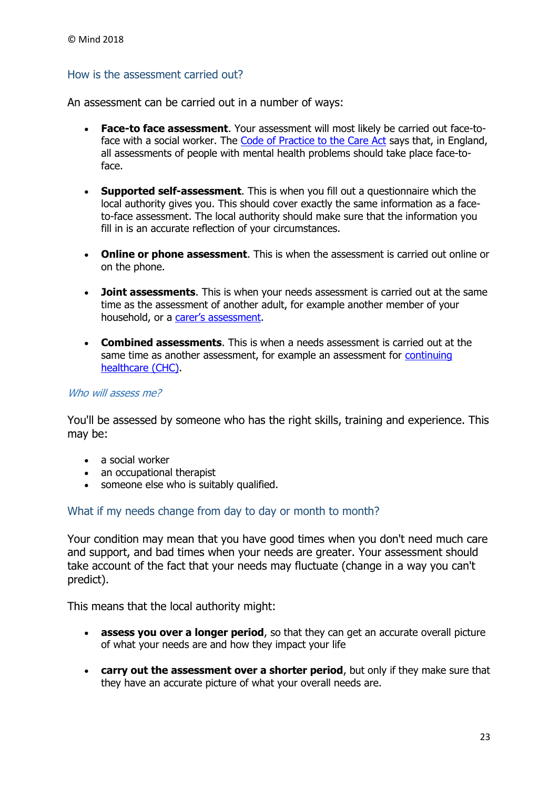#### <span id="page-22-0"></span>How is the assessment carried out?

An assessment can be carried out in a number of ways:

- **Face-to face assessment**. Your assessment will most likely be carried out face-toface with a social worker. The [Code of Practice to the Care Act](https://www.mind.org.uk/information-support/legal-rights/community-care-and-aftercare/terms-you-need-to-know/#copca) says that, in England, all assessments of people with mental health problems should take place face-toface.
- **Supported self-assessment**. This is when you fill out a questionnaire which the local authority gives you. This should cover exactly the same information as a faceto-face assessment. The local authority should make sure that the information you fill in is an accurate reflection of your circumstances.
- **Online or phone assessment**. This is when the assessment is carried out online or on the phone.
- **Joint assessments**. This is when your needs assessment is carried out at the same time as the assessment of another adult, for example another member of your household, or a [carer's assess](https://www.mind.org.uk/information-support/legal-rights/community-care-and-aftercare/terms-you-need-to-know/#carersassessment)ment.
- **Combined assessments**. This is when a needs assessment is carried out at the same time as another assessment, for example an assessment for [continuing](https://www.mind.org.uk/information-support/legal-rights/health-and-social-care-rights/continuing-healthcare-chc/)  [healthcare \(CHC\).](https://www.mind.org.uk/information-support/legal-rights/health-and-social-care-rights/continuing-healthcare-chc/)

#### Who will assess me?

You'll be assessed by someone who has the right skills, training and experience. This may be:

- a social worker
- an occupational therapist
- someone else who is suitably qualified.

#### <span id="page-22-1"></span>What if my needs change from day to day or month to month?

Your condition may mean that you have good times when you don't need much care and support, and bad times when your needs are greater. Your assessment should take account of the fact that your needs may fluctuate (change in a way you can't predict).

This means that the local authority might:

- **assess you over a longer period**, so that they can get an accurate overall picture of what your needs are and how they impact your life
- **carry out the assessment over a shorter period**, but only if they make sure that they have an accurate picture of what your overall needs are.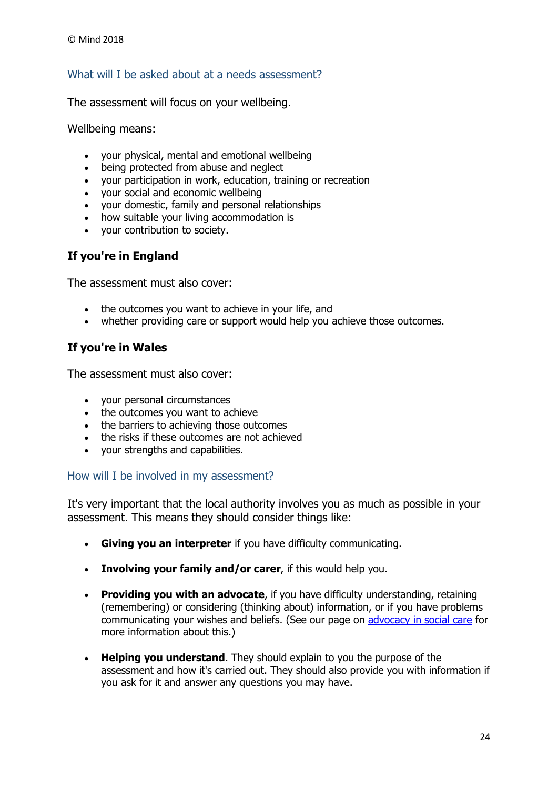# <span id="page-23-0"></span>What will I be asked about at a needs assessment?

The assessment will focus on your wellbeing.

Wellbeing means:

- your physical, mental and emotional wellbeing
- being protected from abuse and neglect
- your participation in work, education, training or recreation
- your social and economic wellbeing
- your domestic, family and personal relationships
- how suitable your living accommodation is
- your contribution to society.

## **If you're in England**

The assessment must also cover:

- the outcomes you want to achieve in your life, and
- whether providing care or support would help you achieve those outcomes.

# **If you're in Wales**

The assessment must also cover:

- your personal circumstances
- the outcomes you want to achieve
- the barriers to achieving those outcomes
- the risks if these outcomes are not achieved
- your strengths and capabilities.

#### <span id="page-23-1"></span>How will I be involved in my assessment?

It's very important that the local authority involves you as much as possible in your assessment. This means they should consider things like:

- **Giving you an interpreter** if you have difficulty communicating.
- **Involving your family and/or carer**, if this would help you.
- **Providing you with an advocate**, if you have difficulty understanding, retaining (remembering) or considering (thinking about) information, or if you have problems communicating your wishes and beliefs. (See our page on [advocacy in social care](https://www.mind.org.uk/information-support/guides-to-support-and-services/advocacy/advocates-in-social-care/) for more information about this.)
- **Helping you understand**. They should explain to you the purpose of the assessment and how it's carried out. They should also provide you with information if you ask for it and answer any questions you may have.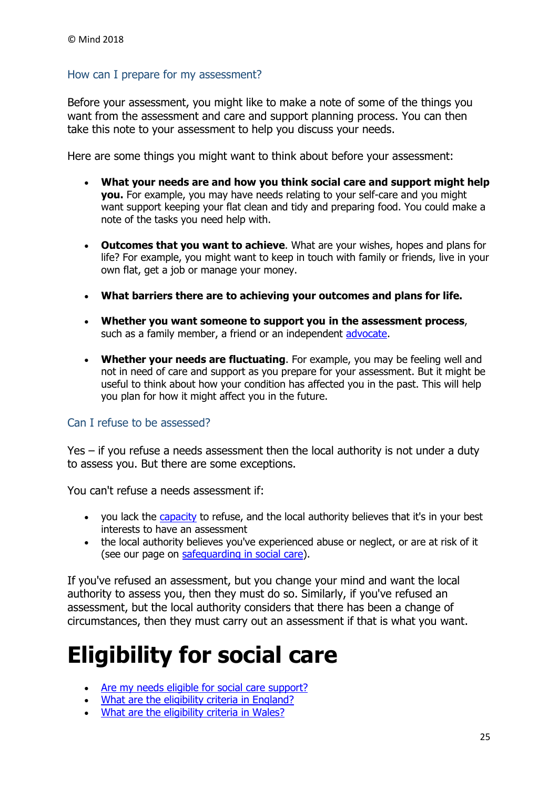## <span id="page-24-0"></span>How can I prepare for my assessment?

Before your assessment, you might like to make a note of some of the things you want from the assessment and care and support planning process. You can then take this note to your assessment to help you discuss your needs.

Here are some things you might want to think about before your assessment:

- **What your needs are and how you think social care and support might help you.** For example, you may have needs relating to your self-care and you might want support keeping your flat clean and tidy and preparing food. You could make a note of the tasks you need help with.
- **Outcomes that you want to achieve**. What are your wishes, hopes and plans for life? For example, you might want to keep in touch with family or friends, live in your own flat, get a job or manage your money.
- **What barriers there are to achieving your outcomes and plans for life.**
- **Whether you want someone to support you in the assessment process**, such as a family member, a friend or an independent [advocate.](https://www.mind.org.uk/information-support/guides-to-support-and-services/advocacy/advocates-in-social-care/)
- **Whether your needs are fluctuating**. For example, you may be feeling well and not in need of care and support as you prepare for your assessment. But it might be useful to think about how your condition has affected you in the past. This will help you plan for how it might affect you in the future.

#### <span id="page-24-1"></span>Can I refuse to be assessed?

Yes – if you refuse a needs assessment then the local authority is not under a duty to assess you. But there are some exceptions.

You can't refuse a needs assessment if:

- you lack the [capacity](https://www.mind.org.uk/information-support/legal-rights/mental-capacity-act-2005/capacity/) to refuse, and the local authority believes that it's in your best interests to have an assessment
- the local authority believes you've experienced abuse or neglect, or are at risk of it (see our page on [safeguarding in social care\)](https://www.mind.org.uk/information-support/legal-rights/health-and-social-care-rights/safeguarding-in-social-care/).

If you've refused an assessment, but you change your mind and want the local authority to assess you, then they must do so. Similarly, if you've refused an assessment, but the local authority considers that there has been a change of circumstances, then they must carry out an assessment if that is what you want.

# <span id="page-24-2"></span>**Eligibility for social care**

- [Are my needs eligible for social care support?](https://www.mind.org.uk/information-support/legal-rights/health-and-social-care-rights/eligibility-for-social-care/#a)
- [What are the eligibility criteria in England?](https://www.mind.org.uk/information-support/legal-rights/health-and-social-care-rights/eligibility-for-social-care/#b)
- [What are the eligibility criteria in Wales?](https://www.mind.org.uk/information-support/legal-rights/health-and-social-care-rights/eligibility-for-social-care/#wales)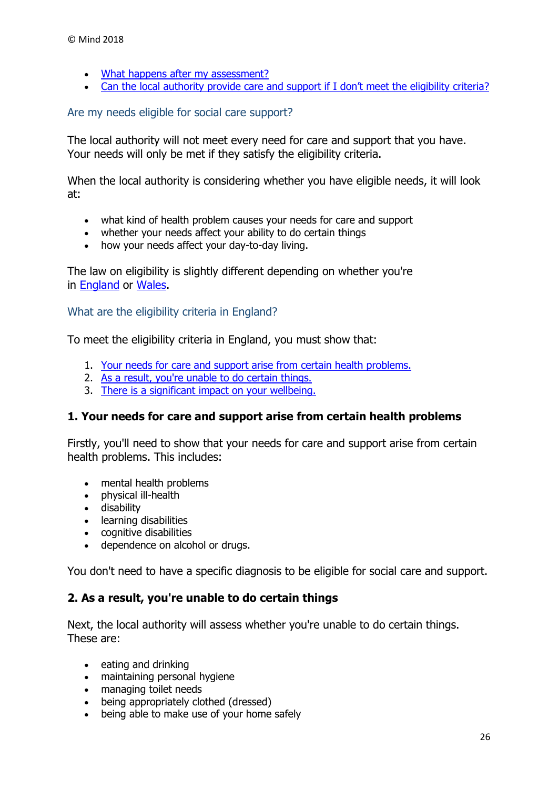- [What happens after my assessment?](https://www.mind.org.uk/information-support/legal-rights/health-and-social-care-rights/eligibility-for-social-care/#d)
- [Can the local authority provide care and support if I don't meet the eligibility criteria](https://www.mind.org.uk/information-support/legal-rights/health-and-social-care-rights/eligibility-for-social-care/#e)?

#### <span id="page-25-0"></span>Are my needs eligible for social care support?

The local authority will not meet every need for care and support that you have. Your needs will only be met if they satisfy the eligibility criteria.

When the local authority is considering whether you have eligible needs, it will look at:

- what kind of health problem causes your needs for care and support
- whether your needs affect your ability to do certain things
- how your needs affect your day-to-day living.

The law on eligibility is slightly different depending on whether you're in [England](https://www.mind.org.uk/information-support/legal-rights/health-and-social-care-rights/eligibility-for-social-care/#b) or [Wales.](https://www.mind.org.uk/information-support/legal-rights/health-and-social-care-rights/eligibility-for-social-care/#c)

<span id="page-25-1"></span>What are the eligibility criteria in England?

To meet the eligibility criteria in England, you must show that:

- 1. [Your needs for care and support arise from certain health problems.](https://www.mind.org.uk/information-support/legal-rights/health-and-social-care-rights/eligibility-for-social-care/#one)
- 2. [As a result, you're unable to do certain things.](https://www.mind.org.uk/information-support/legal-rights/health-and-social-care-rights/eligibility-for-social-care/#two)
- 3. [There is a significant impact on your wellbeing.](https://www.mind.org.uk/information-support/legal-rights/health-and-social-care-rights/eligibility-for-social-care/#three)

#### **1. Your needs for care and support arise from certain health problems**

Firstly, you'll need to show that your needs for care and support arise from certain health problems. This includes:

- mental health problems
- physical ill-health
- disability
- learning disabilities
- cognitive disabilities
- dependence on alcohol or drugs.

You don't need to have a specific diagnosis to be eligible for social care and support.

#### **2. As a result, you're unable to do certain things**

Next, the local authority will assess whether you're unable to do certain things. These are:

- eating and drinking
- maintaining personal hygiene
- managing toilet needs
- being appropriately clothed (dressed)
- being able to make use of your home safely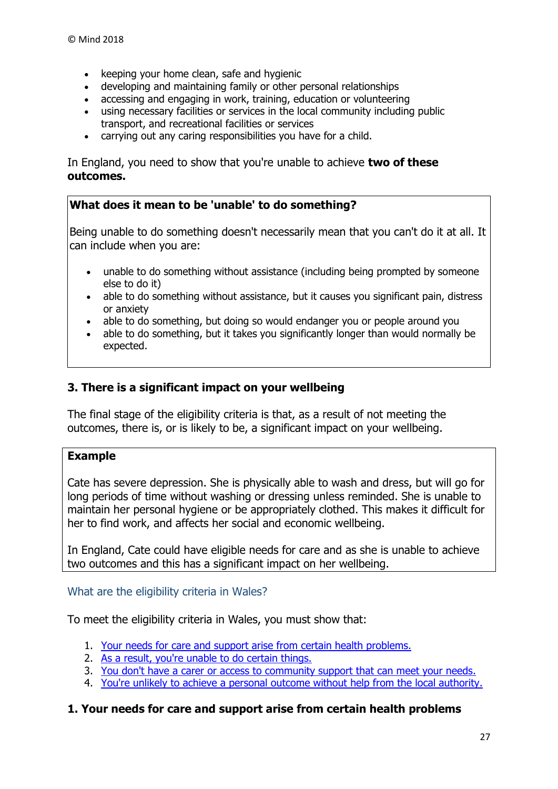- $\bullet$  keeping your home clean, safe and hygienic
- developing and maintaining family or other personal relationships
- accessing and engaging in work, training, education or volunteering
- using necessary facilities or services in the local community including public transport, and recreational facilities or services
- carrying out any caring responsibilities you have for a child.

In England, you need to show that you're unable to achieve **two of these outcomes.**

#### **What does it mean to be 'unable' to do something?**

Being unable to do something doesn't necessarily mean that you can't do it at all. It can include when you are:

- unable to do something without assistance (including being prompted by someone else to do it)
- able to do something without assistance, but it causes you significant pain, distress or anxiety
- able to do something, but doing so would endanger you or people around you
- able to do something, but it takes you significantly longer than would normally be expected.

#### **3. There is a significant impact on your wellbeing**

The final stage of the eligibility criteria is that, as a result of not meeting the outcomes, there is, or is likely to be, a significant impact on your wellbeing.

#### **Example**

Cate has severe depression. She is physically able to wash and dress, but will go for long periods of time without washing or dressing unless reminded. She is unable to maintain her personal hygiene or be appropriately clothed. This makes it difficult for her to find work, and affects her social and economic wellbeing.

In England, Cate could have eligible needs for care and as she is unable to achieve two outcomes and this has a significant impact on her wellbeing.

#### <span id="page-26-0"></span>What are the eligibility criteria in Wales?

To meet the eligibility criteria in Wales, you must show that:

- 1. [Your needs for care and support arise from certain health problems.](https://www.mind.org.uk/information-support/legal-rights/health-and-social-care-rights/eligibility-for-social-care/#onew)
- 2. [As a result, you're unable to do certain things.](https://www.mind.org.uk/information-support/legal-rights/health-and-social-care-rights/eligibility-for-social-care/#twow)
- 3. [You don't have a carer or access to community support that can meet your needs.](https://www.mind.org.uk/information-support/legal-rights/health-and-social-care-rights/eligibility-for-social-care/#threew)
- 4. [You're unlikely to achieve a personal outcome without help from the local authority.](https://www.mind.org.uk/information-support/legal-rights/health-and-social-care-rights/eligibility-for-social-care/#fourw)

#### **1. Your needs for care and support arise from certain health problems**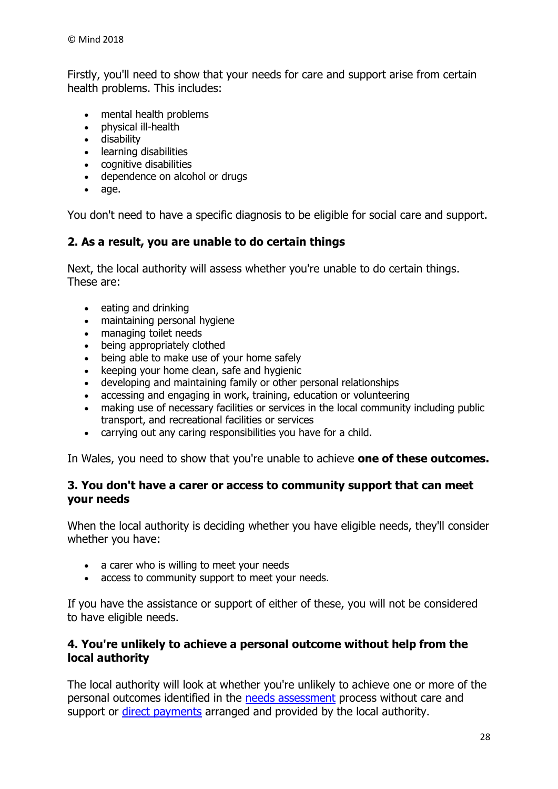Firstly, you'll need to show that your needs for care and support arise from certain health problems. This includes:

- mental health problems
- physical ill-health
- disability
- learning disabilities
- cognitive disabilities
- dependence on alcohol or drugs
- age.

You don't need to have a specific diagnosis to be eligible for social care and support.

# **2. As a result, you are unable to do certain things**

Next, the local authority will assess whether you're unable to do certain things. These are:

- eating and drinking
- maintaining personal hygiene
- managing toilet needs
- being appropriately clothed
- being able to make use of your home safely
- keeping your home clean, safe and hygienic
- developing and maintaining family or other personal relationships
- accessing and engaging in work, training, education or volunteering
- making use of necessary facilities or services in the local community including public transport, and recreational facilities or services
- carrying out any caring responsibilities you have for a child.

In Wales, you need to show that you're unable to achieve **one of these outcomes.**

#### **3. You don't have a carer or access to community support that can meet your needs**

When the local authority is deciding whether you have eligible needs, they'll consider whether you have:

- a carer who is willing to meet your needs
- access to community support to meet your needs.

If you have the assistance or support of either of these, you will not be considered to have eligible needs.

## **4. You're unlikely to achieve a personal outcome without help from the local authority**

The local authority will look at whether you're unlikely to achieve one or more of the personal outcomes identified in the [needs assessment](https://www.mind.org.uk/information-support/legal-rights/health-and-social-care-rights/needs-assessments/) process without care and support or [direct payments](https://www.mind.org.uk/information-support/legal-rights/community-care-and-aftercare/meeting-my-needs-personal-budgets-direct-payments/#d) arranged and provided by the local authority.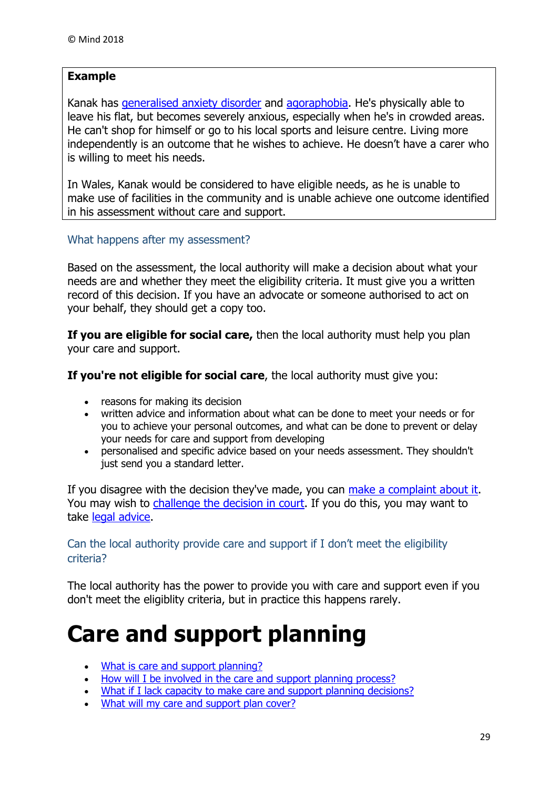# **Example**

Kanak has [generalised anxiety disorder](https://www.mind.org.uk/information-support/types-of-mental-health-problems/anxiety-and-panic-attacks/anxiety-disorders/) and [agoraphobia.](https://www.mind.org.uk/information-support/types-of-mental-health-problems/phobias/types-of-phobia/#ago) He's physically able to leave his flat, but becomes severely anxious, especially when he's in crowded areas. He can't shop for himself or go to his local sports and leisure centre. Living more independently is an outcome that he wishes to achieve. He doesn't have a carer who is willing to meet his needs.

In Wales, Kanak would be considered to have eligible needs, as he is unable to make use of facilities in the community and is unable achieve one outcome identified in his assessment without care and support.

#### <span id="page-28-0"></span>What happens after my assessment?

Based on the assessment, the local authority will make a decision about what your needs are and whether they meet the eligibility criteria. It must give you a written record of this decision. If you have an advocate or someone authorised to act on your behalf, they should get a copy too.

**If you are eligible for social care,** then the local authority must help you plan your care and support.

**If you're not eligible for social care**, the local authority must give you:

- reasons for making its decision
- written advice and information about what can be done to meet your needs or for you to achieve your personal outcomes, and what can be done to prevent or delay your needs for care and support from developing
- personalised and specific advice based on your needs assessment. They shouldn't just send you a standard letter.

If you disagree with the decision they've made, you can [make a complaint about it.](https://www.mind.org.uk/information-support/legal-rights/complaining-about-health-and-social-care/#.WWd2fE1K2M8) You may wish to [challenge the decision in court.](https://www.mind.org.uk/information-support/legal-rights/complaining-about-health-and-social-care/legal-challenge/) If you do this, you may want to take [legal advice.](https://www.mind.org.uk/information-support/legal-rights/complaining-about-health-and-social-care/legal-challenge/#four)

#### <span id="page-28-1"></span>Can the local authority provide care and support if I don't meet the eligibility criteria?

The local authority has the power to provide you with care and support even if you don't meet the eligiblity criteria, but in practice this happens rarely.

# <span id="page-28-2"></span>**Care and support planning**

- [What is care and support planning?](https://www.mind.org.uk/information-support/legal-rights/health-and-social-care-rights/care-and-support-planning/#a)
- [How will I be involved in the care and support planning process?](https://www.mind.org.uk/information-support/legal-rights/health-and-social-care-rights/care-and-support-planning/#b)
- [What if I lack capacity to make care and support planning decisions?](https://www.mind.org.uk/information-support/legal-rights/health-and-social-care-rights/care-and-support-planning/#c)
- [What will my care and support plan cover?](https://www.mind.org.uk/information-support/legal-rights/health-and-social-care-rights/care-and-support-planning/#d)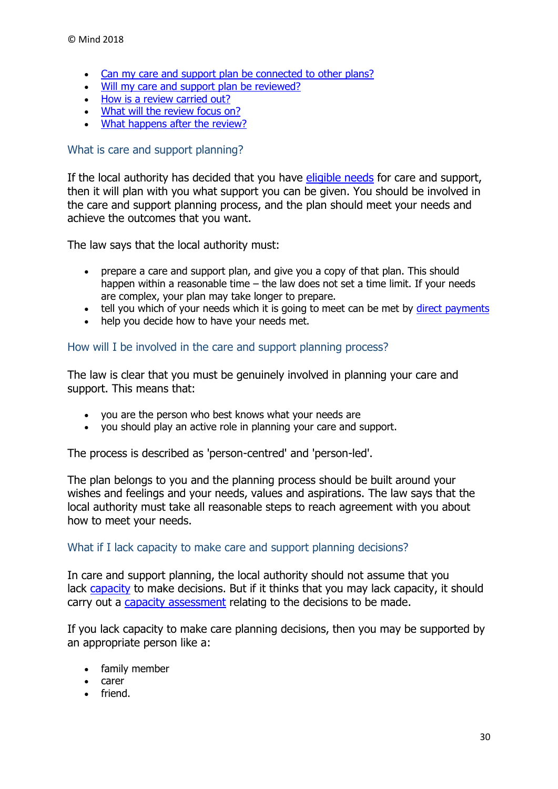- [Can my care and support plan be connected to](https://www.mind.org.uk/information-support/legal-rights/health-and-social-care-rights/care-and-support-planning/#e) other plans?
- . [Will my care and support plan be reviewed?](https://www.mind.org.uk/information-support/legal-rights/health-and-social-care-rights/care-and-support-planning/#f)
- [How is a review carried out?](https://www.mind.org.uk/information-support/legal-rights/health-and-social-care-rights/care-and-support-planning/#g)
- [What will the review focus on?](https://www.mind.org.uk/information-support/legal-rights/health-and-social-care-rights/care-and-support-planning/#focus)
- [What happens after the review?](https://www.mind.org.uk/information-support/legal-rights/health-and-social-care-rights/care-and-support-planning/#h)

#### <span id="page-29-0"></span>What is care and support planning?

If the local authority has decided that you have [eligible needs](https://www.mind.org.uk/information-support/legal-rights/health-and-social-care-rights/eligibility-for-social-care/) for care and support, then it will plan with you what support you can be given. You should be involved in the care and support planning process, and the plan should meet your needs and achieve the outcomes that you want.

The law says that the local authority must:

- prepare a care and support plan, and give you a copy of that plan. This should happen within a reasonable time – the law does not set a time limit. If your needs are complex, your plan may take longer to prepare.
- tell you which of your needs which it is going to meet can be met by [direct payments](https://www.mind.org.uk/information-support/legal-rights/community-care-and-aftercare/meeting-my-needs-personal-budgets-direct-payments/#d)
- help you decide how to have your needs met.

#### <span id="page-29-1"></span>How will I be involved in the care and support planning process?

The law is clear that you must be genuinely involved in planning your care and support. This means that:

- you are the person who best knows what your needs are
- you should play an active role in planning your care and support.

The process is described as 'person-centred' and 'person-led'.

The plan belongs to you and the planning process should be built around your wishes and feelings and your needs, values and aspirations. The law says that the local authority must take all reasonable steps to reach agreement with you about how to meet your needs.

#### <span id="page-29-2"></span>What if I lack capacity to make care and support planning decisions?

In care and support planning, the local authority should not assume that you lack [capacity](https://www.mind.org.uk/information-support/legal-rights/mental-capacity-act-2005/capacity) to make decisions. But if it thinks that you may lack capacity, it should carry out a [capacity assessment](https://www.mind.org.uk/information-support/legal-rights/mental-capacity-act-2005/capacity/#four) relating to the decisions to be made.

If you lack capacity to make care planning decisions, then you may be supported by an appropriate person like a:

- family member
- carer
- **•** friend.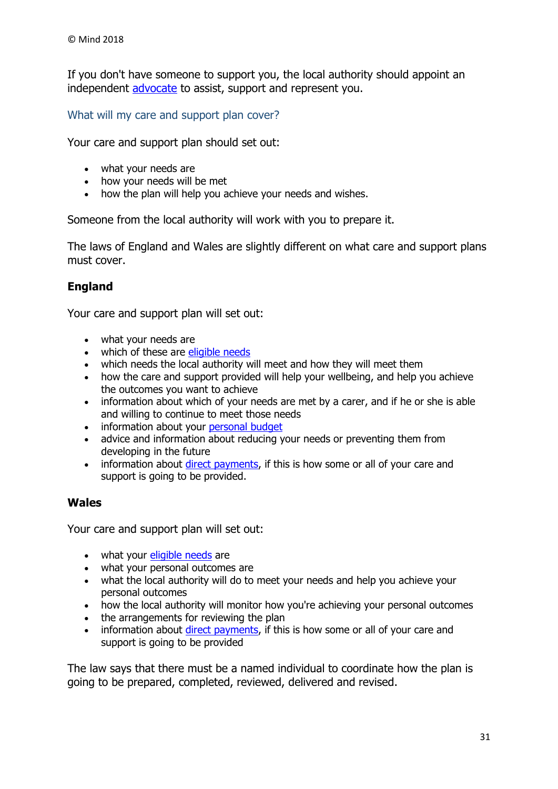If you don't have someone to support you, the local authority should appoint an independent [advocate](https://www.mind.org.uk/information-support/guides-to-support-and-services/advocacy/advocates-in-social-care/) to assist, support and represent you.

<span id="page-30-0"></span>What will my care and support plan cover?

Your care and support plan should set out:

- what your needs are
- how your needs will be met
- how the plan will help you achieve your needs and wishes.

Someone from the local authority will work with you to prepare it.

The laws of England and Wales are slightly different on what care and support plans must cover.

## **England**

Your care and support plan will set out:

- what your needs are
- which of these are [eligible needs](https://www.mind.org.uk/information-support/legal-rights/health-and-social-care-rights/eligibility-for-social-care/)
- which needs the local authority will meet and how they will meet them
- how the care and support provided will help your wellbeing, and help you achieve the outcomes you want to achieve
- information about which of your needs are met by a carer, and if he or she is able and willing to continue to meet those needs
- information about your [personal budget](https://www.mind.org.uk/information-support/legal-rights/community-care-and-aftercare/meeting-my-needs-personal-budgets-direct-payments/#c)
- advice and information about reducing your needs or preventing them from developing in the future
- information about *direct payments*, if this is how some or all of your care and support is going to be provided.

#### **Wales**

Your care and support plan will set out:

- what your *[eligible needs](https://www.mind.org.uk/information-support/legal-rights/health-and-social-care-rights/eligibility-for-social-care/)* are
- what your personal outcomes are
- what the local authority will do to meet your needs and help you achieve your personal outcomes
- how the local authority will monitor how you're achieving your personal outcomes
- the arrangements for reviewing the plan
- information about [direct payments,](https://www.mind.org.uk/information-support/legal-rights/community-care-and-aftercare/meeting-my-needs-personal-budgets-direct-payments/#d) if this is how some or all of your care and support is going to be provided

The law says that there must be a named individual to coordinate how the plan is going to be prepared, completed, reviewed, delivered and revised.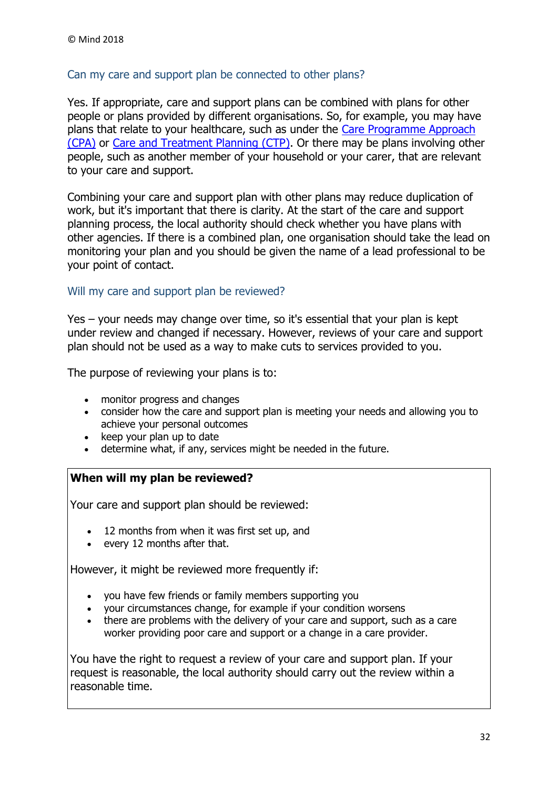## <span id="page-31-0"></span>Can my care and support plan be connected to other plans?

Yes. If appropriate, care and support plans can be combined with plans for other people or plans provided by different organisations. So, for example, you may have plans that relate to your healthcare, such as under the [Care Programme Approach](https://www.mind.org.uk/information-support/legal-rights/community-care-and-aftercare/terms-you-need-to-know/#cpa)  [\(CPA\)](https://www.mind.org.uk/information-support/legal-rights/community-care-and-aftercare/terms-you-need-to-know/#cpa) or [Care and Treatment Planning \(CTP\).](https://www.mind.org.uk/information-support/legal-rights/community-care-and-aftercare/terms-you-need-to-know/#ctp) Or there may be plans involving other people, such as another member of your household or your carer, that are relevant to your care and support.

Combining your care and support plan with other plans may reduce duplication of work, but it's important that there is clarity. At the start of the care and support planning process, the local authority should check whether you have plans with other agencies. If there is a combined plan, one organisation should take the lead on monitoring your plan and you should be given the name of a lead professional to be your point of contact.

## <span id="page-31-1"></span>Will my care and support plan be reviewed?

Yes – your needs may change over time, so it's essential that your plan is kept under review and changed if necessary. However, reviews of your care and support plan should not be used as a way to make cuts to services provided to you.

The purpose of reviewing your plans is to:

- monitor progress and changes
- consider how the care and support plan is meeting your needs and allowing you to achieve your personal outcomes
- $\bullet$  keep your plan up to date
- determine what, if any, services might be needed in the future.

#### **When will my plan be reviewed?**

Your care and support plan should be reviewed:

- 12 months from when it was first set up, and
- every 12 months after that.

However, it might be reviewed more frequently if:

- you have few friends or family members supporting you
- your circumstances change, for example if your condition worsens
- there are problems with the delivery of your care and support, such as a care worker providing poor care and support or a change in a care provider.

You have the right to request a review of your care and support plan. If your request is reasonable, the local authority should carry out the review within a reasonable time.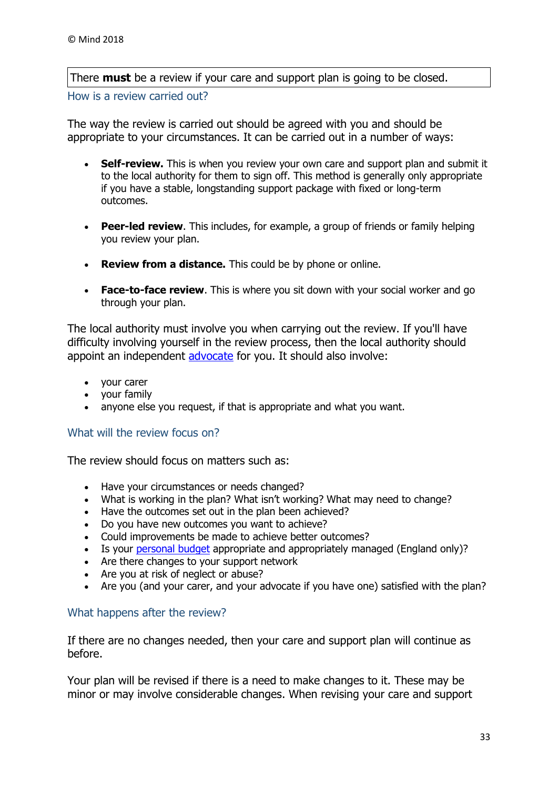There **must** be a review if your care and support plan is going to be closed.

<span id="page-32-0"></span>How is a review carried out?

The way the review is carried out should be agreed with you and should be appropriate to your circumstances. It can be carried out in a number of ways:

- **Self-review.** This is when you review your own care and support plan and submit it to the local authority for them to sign off. This method is generally only appropriate if you have a stable, longstanding support package with fixed or long-term outcomes.
- **Peer-led review**. This includes, for example, a group of friends or family helping you review your plan.
- **Review from a distance.** This could be by phone or online.
- **Face-to-face review**. This is where you sit down with your social worker and go through your plan.

The local authority must involve you when carrying out the review. If you'll have difficulty involving yourself in the review process, then the local authority should appoint an independent [advocate](https://www.mind.org.uk/information-support/guides-to-support-and-services/advocacy/advocates-in-social-care/) for you. It should also involve:

- your carer
- your family
- anyone else you request, if that is appropriate and what you want.

#### <span id="page-32-1"></span>What will the review focus on?

The review should focus on matters such as:

- Have your circumstances or needs changed?
- What is working in the plan? What isn't working? What may need to change?
- Have the outcomes set out in the plan been achieved?
- Do you have new outcomes you want to achieve?
- Could improvements be made to achieve better outcomes?
- Is your [personal budget](https://www.mind.org.uk/information-support/legal-rights/community-care-and-aftercare/meeting-my-needs-personal-budgets-direct-payments/#c) appropriate and appropriately managed (England only)?
- Are there changes to your support network
- Are you at risk of neglect or abuse?
- Are you (and your carer, and your advocate if you have one) satisfied with the plan?

#### <span id="page-32-2"></span>What happens after the review?

If there are no changes needed, then your care and support plan will continue as before.

Your plan will be revised if there is a need to make changes to it. These may be minor or may involve considerable changes. When revising your care and support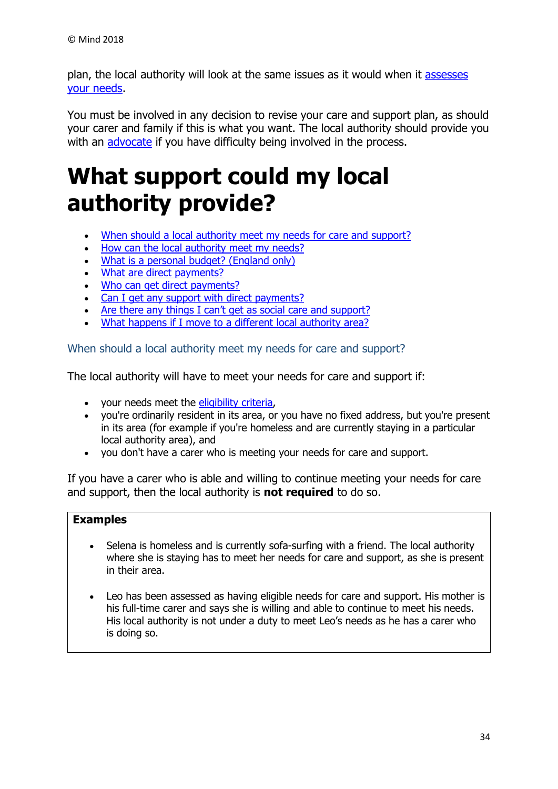plan, the local authority will look at the same issues as it would when it assesses [your needs.](https://www.mind.org.uk/information-support/legal-rights/health-and-social-care-rights/needs-assessments/)

You must be involved in any decision to revise your care and support plan, as should your carer and family if this is what you want. The local authority should provide you with an [advocate](https://www.mind.org.uk/information-support/guides-to-support-and-services/advocacy/advocates-in-social-care/) if you have difficulty being involved in the process.

# <span id="page-33-0"></span>**What support could my local authority provide?**

- [When should a local authority meet my needs for care and support?](https://www.mind.org.uk/information-support/legal-rights/health-and-social-care-rights/meeting-your-needs-personal-budgets-direct-payments/#a)
- [How can the local authority meet my needs?](https://www.mind.org.uk/information-support/legal-rights/health-and-social-care-rights/meeting-your-needs-personal-budgets-direct-payments/#b)
- [What is a personal budget? \(England only\)](https://www.mind.org.uk/information-support/legal-rights/health-and-social-care-rights/meeting-your-needs-personal-budgets-direct-payments/#c)
- [What are direct payments?](https://www.mind.org.uk/information-support/legal-rights/health-and-social-care-rights/meeting-your-needs-personal-budgets-direct-payments/#d)
- . [Who can get direct payments?](https://www.mind.org.uk/information-support/legal-rights/health-and-social-care-rights/meeting-your-needs-personal-budgets-direct-payments/#e)
- [Can I get any support with direct payments?](https://www.mind.org.uk/information-support/legal-rights/health-and-social-care-rights/meeting-your-needs-personal-budgets-direct-payments/#f)
- Are t[here any things I can't get as social care and support](https://www.mind.org.uk/information-support/legal-rights/health-and-social-care-rights/meeting-your-needs-personal-budgets-direct-payments/#g)?
- [What happens if I move to a different](https://www.mind.org.uk/information-support/legal-rights/health-and-social-care-rights/meeting-your-needs-personal-budgets-direct-payments/#h) local authority area?

<span id="page-33-1"></span>When should a local authority meet my needs for care and support?

The local authority will have to meet your needs for care and support if:

- your needs meet the [eligibility criteria,](https://www.mind.org.uk/information-support/legal-rights/health-and-social-care-rights/eligibility-for-social-care/)
- you're ordinarily resident in its area, or you have no fixed address, but you're present in its area (for example if you're homeless and are currently staying in a particular local authority area), and
- you don't have a carer who is meeting your needs for care and support.

If you have a carer who is able and willing to continue meeting your needs for care and support, then the local authority is **not required** to do so.

#### **Examples**

- Selena is homeless and is currently sofa-surfing with a friend. The local authority where she is staying has to meet her needs for care and support, as she is present in their area.
- Leo has been assessed as having eligible needs for care and support. His mother is his full-time carer and says she is willing and able to continue to meet his needs. His local authority is not under a duty to meet Leo's needs as he has a carer who is doing so.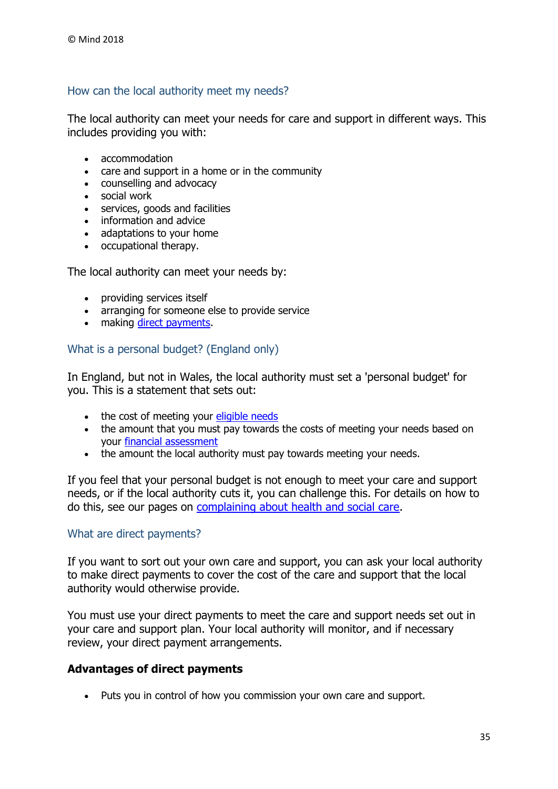## <span id="page-34-0"></span>How can the local authority meet my needs?

The local authority can meet your needs for care and support in different ways. This includes providing you with:

- accommodation
- care and support in a home or in the community
- counselling and advocacy
- social work
- services, goods and facilities
- information and advice
- adaptations to your home
- occupational therapy.

The local authority can meet your needs by:

- providing services itself
- arranging for someone else to provide service
- making [direct payments.](https://www.mind.org.uk/information-support/legal-rights/health-and-social-care-rights/meeting-your-needs-personal-budgets-direct-payments/#d)

#### <span id="page-34-1"></span>What is a personal budget? (England only)

In England, but not in Wales, the local authority must set a 'personal budget' for you. This is a statement that sets out:

- the cost of meeting your [eligible needs](https://www.mind.org.uk/information-support/legal-rights/health-and-social-care-rights/eligibility-for-social-care/)
- the amount that you must pay towards the costs of meeting your needs based on your [financial assessment](https://www.mind.org.uk/information-support/legal-rights/health-and-social-care-rights/financial-assessments/)
- the amount the local authority must pay towards meeting your needs.

If you feel that your personal budget is not enough to meet your care and support needs, or if the local authority cuts it, you can challenge this. For details on how to do this, see our pages on [complaining about health and social care.](https://www.mind.org.uk/information-support/legal-rights/complaining-about-health-and-social-care/#.WWd2fE1K2M8)

#### <span id="page-34-2"></span>What are direct payments?

If you want to sort out your own care and support, you can ask your local authority to make direct payments to cover the cost of the care and support that the local authority would otherwise provide.

You must use your direct payments to meet the care and support needs set out in your care and support plan. Your local authority will monitor, and if necessary review, your direct payment arrangements.

#### **Advantages of direct payments**

Puts you in control of how you commission your own care and support.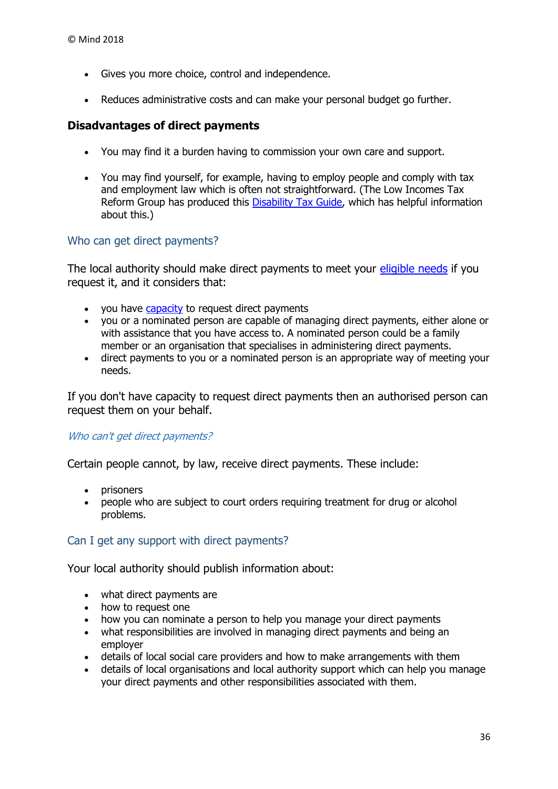- Gives you more choice, control and independence.
- Reduces administrative costs and can make your personal budget go further.

#### **Disadvantages of direct payments**

- You may find it a burden having to commission your own care and support.
- You may find yourself, for example, having to employ people and comply with tax and employment law which is often not straightforward. (The Low Incomes Tax Reform Group has produced this [Disability Tax Guide,](http://www.disabilitytaxguide.org.uk/) which has helpful information about this.)

#### <span id="page-35-0"></span>Who can get direct payments?

The local authority should make direct payments to meet your [eligible needs](https://www.mind.org.uk/information-support/legal-rights/health-and-social-care-rights/eligibility-for-social-care/) if you request it, and it considers that:

- . you have [capacity](https://www.mind.org.uk/information-support/legal-rights/mental-capacity-act-2005/capacity/) to request direct payments
- you or a nominated person are capable of managing direct payments, either alone or with assistance that you have access to. A nominated person could be a family member or an organisation that specialises in administering direct payments.
- direct payments to you or a nominated person is an appropriate way of meeting your needs.

If you don't have capacity to request direct payments then an authorised person can request them on your behalf.

#### Who can't get direct payments?

Certain people cannot, by law, receive direct payments. These include:

- prisoners
- people who are subject to court orders requiring treatment for drug or alcohol problems.

#### <span id="page-35-1"></span>Can I get any support with direct payments?

Your local authority should publish information about:

- what direct payments are
- how to request one
- how you can nominate a person to help you manage your direct payments
- what responsibilities are involved in managing direct payments and being an employer
- details of local social care providers and how to make arrangements with them
- details of local organisations and local authority support which can help you manage your direct payments and other responsibilities associated with them.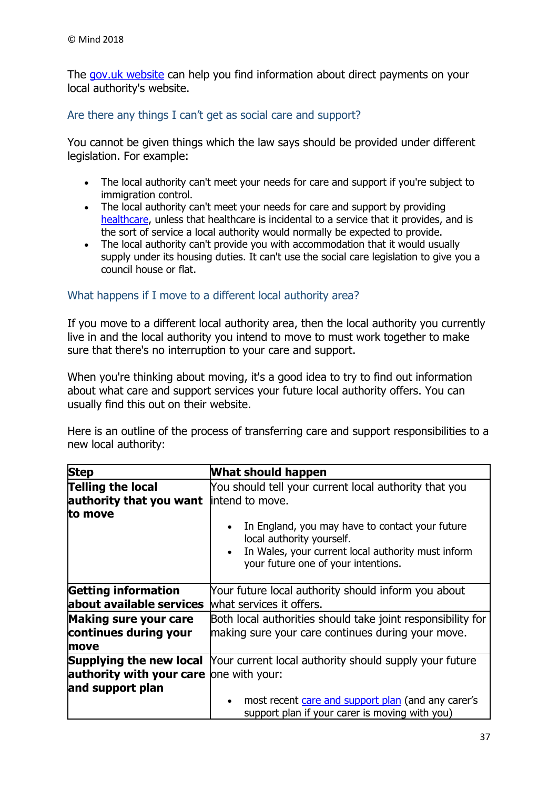The [gov.uk website](https://www.gov.uk/apply-direct-payments) can help you find information about direct payments on your local authority's website.

#### <span id="page-36-0"></span>Are there any things I can't get as social care and support?

You cannot be given things which the law says should be provided under different legislation. For example:

- The local authority can't meet your needs for care and support if you're subject to immigration control.
- The local authority can't meet your needs for care and support by providing [healthcare,](https://www.mind.org.uk/information-support/legal-rights/health-and-social-care-rights/about-healthcare/) unless that healthcare is incidental to a service that it provides, and is the sort of service a local authority would normally be expected to provide.
- The local authority can't provide you with accommodation that it would usually supply under its housing duties. It can't use the social care legislation to give you a council house or flat.

#### <span id="page-36-1"></span>What happens if I move to a different local authority area?

If you move to a different local authority area, then the local authority you currently live in and the local authority you intend to move to must work together to make sure that there's no interruption to your care and support.

When you're thinking about moving, it's a good idea to try to find out information about what care and support services your future local authority offers. You can usually find this out on their website.

Here is an outline of the process of transferring care and support responsibilities to a new local authority:

| <b>Step</b>                                                        | What should happen                                                                                                                                                                                         |
|--------------------------------------------------------------------|------------------------------------------------------------------------------------------------------------------------------------------------------------------------------------------------------------|
| Telling the local<br>authority that you want<br>to move            | You should tell your current local authority that you<br>lintend to move.<br>In England, you may have to contact your future<br>$\bullet$                                                                  |
|                                                                    | local authority yourself.<br>In Wales, your current local authority must inform<br>your future one of your intentions.                                                                                     |
| <b>Getting information</b><br>about available services             | Your future local authority should inform you about<br>what services it offers.                                                                                                                            |
| <b>Making sure your care</b><br>continues during your<br>move      | Both local authorities should take joint responsibility for<br>making sure your care continues during your move.                                                                                           |
| <b>authority with your care</b> one with your:<br>and support plan | <b>Supplying the new local</b> Your current local authority should supply your future<br>most recent care and support plan (and any carer's<br>$\bullet$<br>support plan if your carer is moving with you) |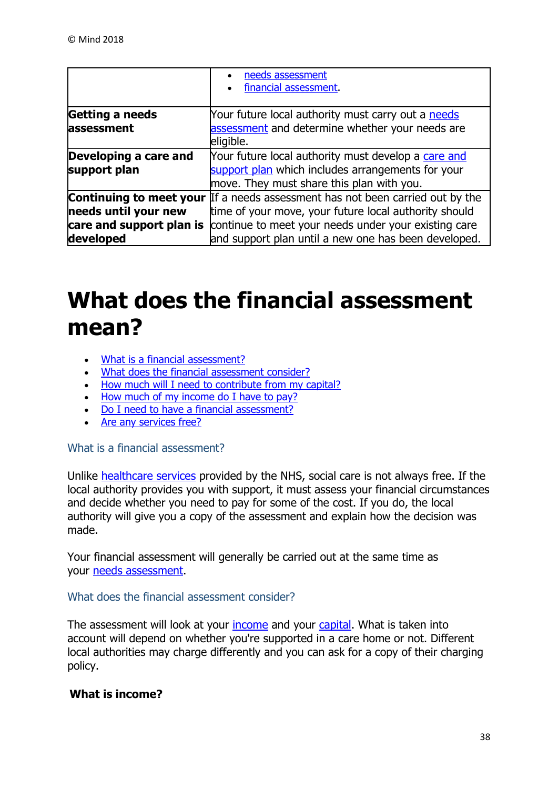|                                                               | needs assessment<br>financial assessment.                                                                                                                                                                                                                     |
|---------------------------------------------------------------|---------------------------------------------------------------------------------------------------------------------------------------------------------------------------------------------------------------------------------------------------------------|
| Getting a needs<br>assessment                                 | Your future local authority must carry out a needs<br>assessment and determine whether your needs are<br>eligible.                                                                                                                                            |
| Developing a care and<br>support plan                         | Your future local authority must develop a care and<br>support plan which includes arrangements for your<br>move. They must share this plan with you.                                                                                                         |
| needs until your new<br>care and support plan is<br>developed | <b>Continuing to meet your</b> If a needs assessment has not been carried out by the<br>time of your move, your future local authority should<br>continue to meet your needs under your existing care<br>and support plan until a new one has been developed. |

# <span id="page-37-0"></span>**What does the financial assessment mean?**

- [What is a financial assessment?](https://www.mind.org.uk/information-support/legal-rights/health-and-social-care-rights/financial-assessments/#a)
- . [What does the financial assessment consider?](https://www.mind.org.uk/information-support/legal-rights/health-and-social-care-rights/financial-assessments/#b)
- [How much will I need to contribute from my capital?](https://www.mind.org.uk/information-support/legal-rights/health-and-social-care-rights/financial-assessments/#c)
- [How much of my income do I have to pay?](https://www.mind.org.uk/information-support/legal-rights/health-and-social-care-rights/financial-assessments/#d)
- [Do I need to have a financial assessment?](https://www.mind.org.uk/information-support/legal-rights/health-and-social-care-rights/financial-assessments/#e)
- [Are any services free?](https://www.mind.org.uk/information-support/legal-rights/health-and-social-care-rights/financial-assessments/#f)

#### <span id="page-37-1"></span>What is a financial assessment?

Unlike [healthcare services](https://www.mind.org.uk/information-support/legal-rights/health-and-social-care-rights/about-healthcare/) provided by the NHS, social care is not always free. If the local authority provides you with support, it must assess your financial circumstances and decide whether you need to pay for some of the cost. If you do, the local authority will give you a copy of the assessment and explain how the decision was made.

Your financial assessment will generally be carried out at the same time as your [needs assessment.](https://www.mind.org.uk/information-support/legal-rights/health-and-social-care-rights/needs-assessments/)

#### <span id="page-37-2"></span>What does the financial assessment consider?

The assessment will look at your [income](https://www.mind.org.uk/information-support/legal-rights/health-and-social-care-rights/financial-assessments/#income) and your [capital.](https://www.mind.org.uk/information-support/legal-rights/health-and-social-care-rights/financial-assessments/#capital) What is taken into account will depend on whether you're supported in a care home or not. Different local authorities may charge differently and you can ask for a copy of their charging policy.

# **What is income?**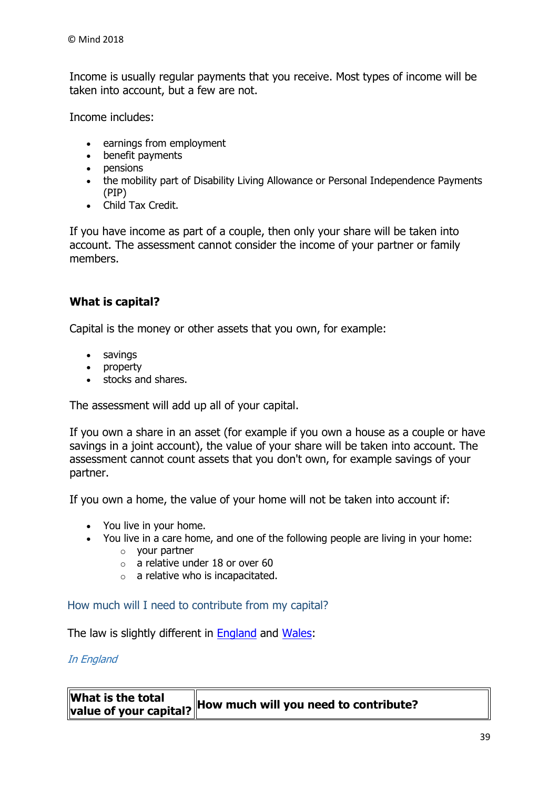Income is usually regular payments that you receive. Most types of income will be taken into account, but a few are not.

Income includes:

- earnings from employment
- benefit payments
- pensions
- the mobility part of Disability Living Allowance or Personal Independence Payments (PIP)
- Child Tax Credit.

If you have income as part of a couple, then only your share will be taken into account. The assessment cannot consider the income of your partner or family members.

# **What is capital?**

Capital is the money or other assets that you own, for example:

- savings
- property
- stocks and shares.

The assessment will add up all of your capital.

If you own a share in an asset (for example if you own a house as a couple or have savings in a joint account), the value of your share will be taken into account. The assessment cannot count assets that you don't own, for example savings of your partner.

If you own a home, the value of your home will not be taken into account if:

- You live in your home.
- You live in a care home, and one of the following people are living in your home:
	- o your partner
	- $\circ$  a relative under 18 or over 60
	- $\circ$  a relative who is incapacitated.

<span id="page-38-0"></span>How much will I need to contribute from my capital?

The law is slightly different in [England](https://www.mind.org.uk/information-support/legal-rights/health-and-social-care-rights/financial-assessments/#england) and [Wales:](https://www.mind.org.uk/information-support/legal-rights/health-and-social-care-rights/financial-assessments/#wales)

#### In England

| What is the total |                                                                           |
|-------------------|---------------------------------------------------------------------------|
|                   | $\mathbb{R}$ 'alue of your capital? How much will you need to contribute? |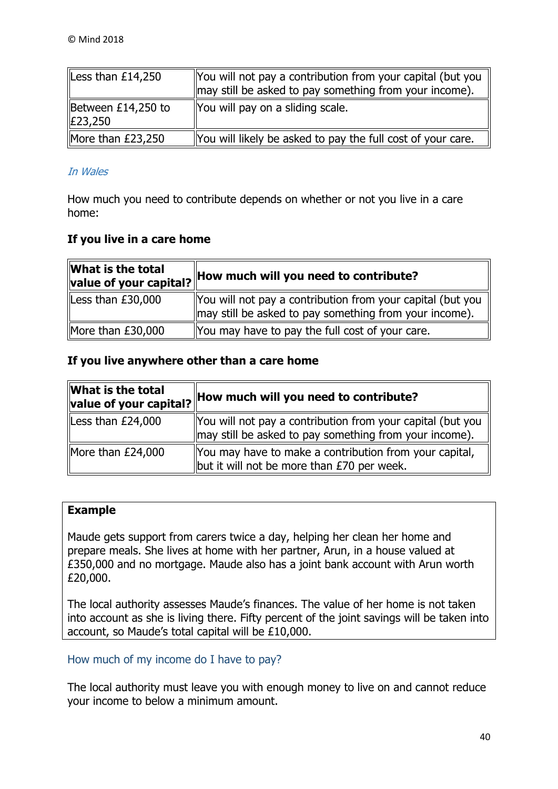| Less than $£14,250$             | You will not pay a contribution from your capital (but you<br>may still be asked to pay something from your income). |
|---------------------------------|----------------------------------------------------------------------------------------------------------------------|
| Between $£14,250$ to<br>£23,250 | You will pay on a sliding scale.                                                                                     |
| More than $£23,250$             | You will likely be asked to pay the full cost of your care.                                                          |

#### In Wales

How much you need to contribute depends on whether or not you live in a care home:

## **If you live in a care home**

| What is the total<br>value of your capital? | How much will you need to contribute?                                                                                |
|---------------------------------------------|----------------------------------------------------------------------------------------------------------------------|
| Less than £30,000                           | You will not pay a contribution from your capital (but you<br>may still be asked to pay something from your income). |
| More than £30,000                           | You may have to pay the full cost of your care.                                                                      |

#### **If you live anywhere other than a care home**

| What is the total<br>value of your capital? | How much will you need to contribute?                                                                                |
|---------------------------------------------|----------------------------------------------------------------------------------------------------------------------|
| Less than $£24,000$                         | You will not pay a contribution from your capital (but you<br>may still be asked to pay something from your income). |
| More than $£24,000$                         | You may have to make a contribution from your capital,<br>but it will not be more than $E70$ per week.               |

## **Example**

Maude gets support from carers twice a day, helping her clean her home and prepare meals. She lives at home with her partner, Arun, in a house valued at £350,000 and no mortgage. Maude also has a joint bank account with Arun worth £20,000.

The local authority assesses Maude's finances. The value of her home is not taken into account as she is living there. Fifty percent of the joint savings will be taken into account, so Maude's total capital will be £10,000.

## <span id="page-39-0"></span>How much of my income do I have to pay?

The local authority must leave you with enough money to live on and cannot reduce your income to below a minimum amount.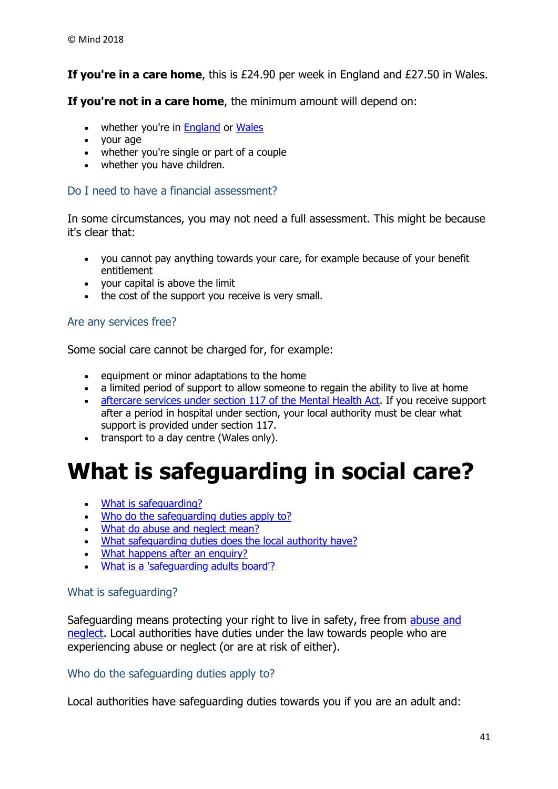**If you're in a care home**, this is £24.90 per week in England and £27.50 in Wales.

**If you're not in a care home**, the minimum amount will depend on:

- whether you're in **England** or [Wales](https://www.mind.org.uk/information-support/legal-rights/health-and-social-care-rights/financial-assessments/#wales)
- vour age
- whether you're single or part of a couple
- whether you have children.

# <span id="page-40-0"></span>Do I need to have a financial assessment?

In some circumstances, you may not need a full assessment. This might be because it's clear that:

- you cannot pay anything towards your care, for example because of your benefit entitlement
- your capital is above the limit
- the cost of the support you receive is very small.

## <span id="page-40-1"></span>Are any services free?

Some social care cannot be charged for, for example:

- $\bullet$  equipment or minor adaptations to the home
- a limited period of support to allow someone to regain the ability to live at home
- [aftercare services under section 117 of the Mental Health Act.](https://www.mind.org.uk/information-support/legal-rights/leaving-hospital/section-117-aftercare/) If you receive support after a period in hospital under section, your local authority must be clear what support is provided under section 117.
- transport to a day centre (Wales only).

# <span id="page-40-2"></span>**What is safeguarding in social care?**

- [What is safeguarding?](https://www.mind.org.uk/information-support/legal-rights/health-and-social-care-rights/safeguarding-in-social-care/#a)
- . [Who do the safeguarding duties apply to?](https://www.mind.org.uk/information-support/legal-rights/health-and-social-care-rights/safeguarding-in-social-care/#b)
- [What do abuse and neglect mean?](https://www.mind.org.uk/information-support/legal-rights/health-and-social-care-rights/safeguarding-in-social-care/#c)
- [What safeguarding duties does the local authority have?](https://www.mind.org.uk/information-support/legal-rights/health-and-social-care-rights/safeguarding-in-social-care/#d)
- [What happens after an enquiry?](https://www.mind.org.uk/information-support/legal-rights/health-and-social-care-rights/safeguarding-in-social-care/#e)
- [What is a 'safeguarding adults board'?](https://www.mind.org.uk/information-support/legal-rights/health-and-social-care-rights/safeguarding-in-social-care/#f)

## <span id="page-40-3"></span>What is safeguarding?

Safeguarding means protecting your right to live in safety, free from [abuse and](https://www.mind.org.uk/information-support/legal-rights/health-and-social-care-rights/safeguarding-in-social-care/#c)  [neglect.](https://www.mind.org.uk/information-support/legal-rights/health-and-social-care-rights/safeguarding-in-social-care/#c) Local authorities have duties under the law towards people who are experiencing abuse or neglect (or are at risk of either).

#### <span id="page-40-4"></span>Who do the safeguarding duties apply to?

Local authorities have safeguarding duties towards you if you are an adult and: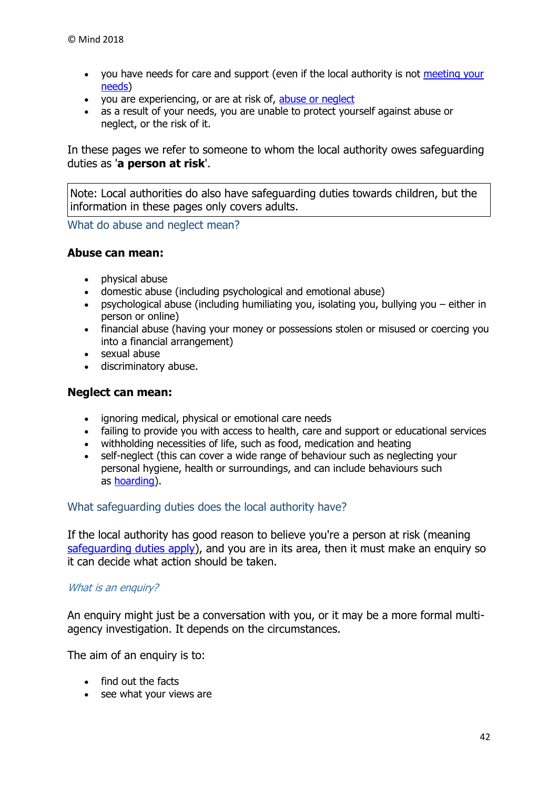- you have needs for care and support (even if the local authority is not meeting your [needs\)](https://www.mind.org.uk/information-support/legal-rights/health-and-social-care-rights/meeting-your-needs-personal-budgets-direct-payments/)
- you are experiencing, or are at risk of, [abuse or neglect](https://www.mind.org.uk/information-support/legal-rights/health-and-social-care-rights/safeguarding-in-social-care/#c)
- as a result of your needs, you are unable to protect yourself against abuse or neglect, or the risk of it.

In these pages we refer to someone to whom the local authority owes safeguarding duties as '**a person at risk**'.

Note: Local authorities do also have safeguarding duties towards children, but the information in these pages only covers adults.

<span id="page-41-0"></span>What do abuse and neglect mean?

#### **Abuse can mean:**

- physical abuse
- domestic abuse (including psychological and emotional abuse)
- psychological abuse (including humiliating you, isolating you, bullying you either in person or online)
- financial abuse (having your money or possessions stolen or misused or coercing you into a financial arrangement)
- sexual abuse
- discriminatory abuse.

#### **Neglect can mean:**

- ignoring medical, physical or emotional care needs
- failing to provide you with access to health, care and support or educational services
- withholding necessities of life, such as food, medication and heating
- self-neglect (this can cover a wide range of behaviour such as neglecting your personal hygiene, health or surroundings, and can include behaviours such as [hoarding\)](https://www.mind.org.uk/information-support/types-of-mental-health-problems/hoarding/).

#### <span id="page-41-1"></span>What safeguarding duties does the local authority have?

If the local authority has good reason to believe you're a person at risk (meaning [safeguarding duties apply\)](https://www.mind.org.uk/information-support/legal-rights/health-and-social-care-rights/safeguarding-in-social-care/#b), and you are in its area, then it must make an enguiry so it can decide what action should be taken.

#### What is an enquiry?

An enquiry might just be a conversation with you, or it may be a more formal multiagency investigation. It depends on the circumstances.

The aim of an enquiry is to:

- find out the facts
- see what your views are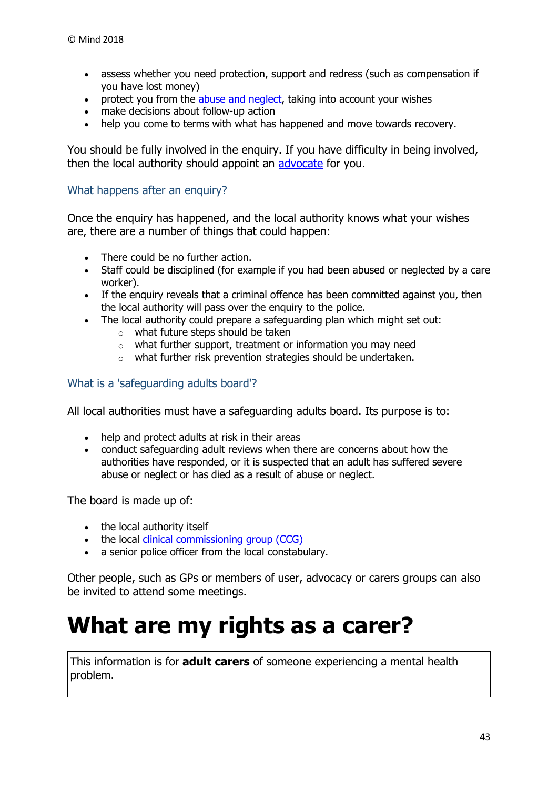- assess whether you need protection, support and redress (such as compensation if you have lost money)
- protect you from the [abuse and neglect,](https://www.mind.org.uk/information-support/legal-rights/health-and-social-care-rights/safeguarding-in-social-care/#c) taking into account your wishes
- make decisions about follow-up action
- help you come to terms with what has happened and move towards recovery.

You should be fully involved in the enquiry. If you have difficulty in being involved, then the local authority should appoint an [advocate](https://www.mind.org.uk/information-support/guides-to-support-and-services/advocacy/advocates-in-social-care/) for you.

### <span id="page-42-0"></span>What happens after an enquiry?

Once the enquiry has happened, and the local authority knows what your wishes are, there are a number of things that could happen:

- There could be no further action.
- Staff could be disciplined (for example if you had been abused or neglected by a care worker).
- If the enquiry reveals that a criminal offence has been committed against you, then the local authority will pass over the enquiry to the police.
- The local authority could prepare a safeguarding plan which might set out:
	- o what future steps should be taken
	- o what further support, treatment or information you may need
	- o what further risk prevention strategies should be undertaken.

#### <span id="page-42-1"></span>What is a 'safeguarding adults board'?

All local authorities must have a safeguarding adults board. Its purpose is to:

- help and protect adults at risk in their areas
- conduct safeguarding adult reviews when there are concerns about how the authorities have responded, or it is suspected that an adult has suffered severe abuse or neglect or has died as a result of abuse or neglect.

The board is made up of:

- the local authority itself
- the local [clinical commissioning group \(CCG\)](https://www.mind.org.uk/information-support/legal-rights/community-care-and-aftercare/terms-you-need-to-know/#ccg)
- a senior police officer from the local constabulary.

Other people, such as GPs or members of user, advocacy or carers groups can also be invited to attend some meetings.

# <span id="page-42-2"></span>**What are my rights as a carer?**

This information is for **adult carers** of someone experiencing a mental health problem.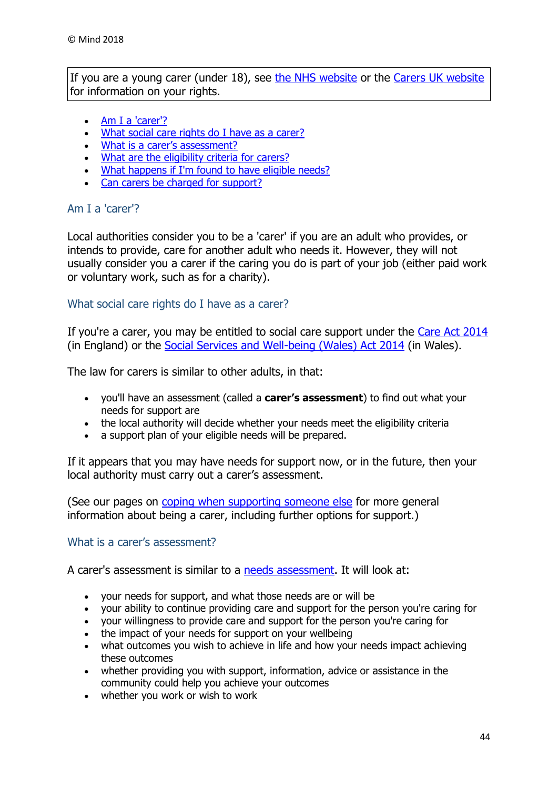If you are a young carer (under 18), see [the NHS website](https://www.nhs.uk/conditions/social-care-and-support/young-carers-rights/) or the [Carers UK website](http://www.carersuk.org/help-and-advice/practical-support/getting-care-and-support/carers-assessment) for information on your rights.

- [Am I a 'carer'?](https://www.mind.org.uk/information-support/legal-rights/health-and-social-care-rights/carers-social-care-rights/#a)
- [What social care rights do I have as a carer?](https://www.mind.org.uk/information-support/legal-rights/health-and-social-care-rights/carers-social-care-rights/#b)
- [What is a carer's assessment?](https://www.mind.org.uk/information-support/legal-rights/health-and-social-care-rights/carers-social-care-rights/#c)
- [What are the eligibility criteria for carers?](https://www.mind.org.uk/information-support/legal-rights/health-and-social-care-rights/carers-social-care-rights/#d)
- [What happens if I'm found to have eligible needs?](https://www.mind.org.uk/information-support/legal-rights/health-and-social-care-rights/carers-social-care-rights/#e)
- [Can carers be charged for support?](https://www.mind.org.uk/information-support/legal-rights/health-and-social-care-rights/carers-social-care-rights/#f)

#### <span id="page-43-0"></span>Am I a 'carer'?

Local authorities consider you to be a 'carer' if you are an adult who provides, or intends to provide, care for another adult who needs it. However, they will not usually consider you a carer if the caring you do is part of your job (either paid work or voluntary work, such as for a charity).

#### <span id="page-43-1"></span>What social care rights do I have as a carer?

If you're a carer, you may be entitled to social care support under the [Care Act 2014](https://www.mind.org.uk/information-support/legal-rights/community-care-and-aftercare/terms-you-need-to-know/#careact) (in England) or the [Social Services and Well-being \(Wales\) Act 2014](https://www.mind.org.uk/information-support/legal-rights/community-care-and-aftercare/terms-you-need-to-know/#sswa) (in Wales).

The law for carers is similar to other adults, in that:

- you'll have an assessment (called a **carer's assessment**) to find out what your needs for support are
- the local authority will decide whether your needs meet the eligibility criteria
- a support plan of your eligible needs will be prepared.

If it appears that you may have needs for support now, or in the future, then your local authority must carry out a carer's assessment.

(See our pages on [coping when supporting someone else](https://www.mind.org.uk/information-support/helping-someone-else/carers-friends-family-coping-support/) for more general information about being a carer, including further options for support.)

#### <span id="page-43-2"></span>What is a carer's assessment?

A carer's assessment is similar to a [needs assessment.](https://www.mind.org.uk/information-support/legal-rights/health-and-social-care-rights/needs-assessments/) It will look at:

- your needs for support, and what those needs are or will be
- your ability to continue providing care and support for the person you're caring for
- your willingness to provide care and support for the person you're caring for
- the impact of your needs for support on your wellbeing
- what outcomes you wish to achieve in life and how your needs impact achieving these outcomes
- whether providing you with support, information, advice or assistance in the community could help you achieve your outcomes
- whether you work or wish to work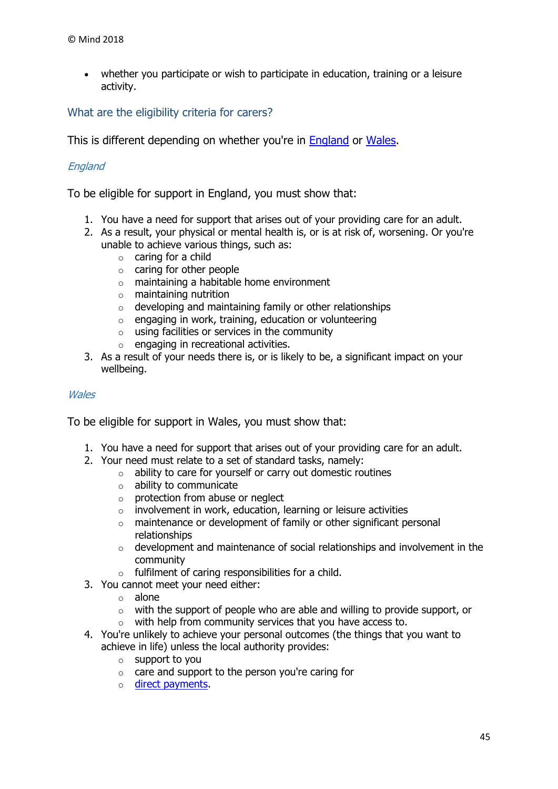whether you participate or wish to participate in education, training or a leisure activity.

<span id="page-44-0"></span>What are the eligibility criteria for carers?

This is different depending on whether you're in [England](https://www.mind.org.uk/information-support/legal-rights/health-and-social-care-rights/carers-social-care-rights/#england) or [Wales.](https://www.mind.org.uk/information-support/legal-rights/health-and-social-care-rights/carers-social-care-rights/#wales)

#### England

To be eligible for support in England, you must show that:

- 1. You have a need for support that arises out of your providing care for an adult.
- 2. As a result, your physical or mental health is, or is at risk of, worsening. Or you're unable to achieve various things, such as:
	- $\circ$  caring for a child
	- o caring for other people
	- o maintaining a habitable home environment
	- o maintaining nutrition
	- $\circ$  developing and maintaining family or other relationships
	- $\circ$  engaging in work, training, education or volunteering
	- $\circ$  using facilities or services in the community
	- o engaging in recreational activities.
- 3. As a result of your needs there is, or is likely to be, a significant impact on your wellbeing.

#### **Wales**

To be eligible for support in Wales, you must show that:

- 1. You have a need for support that arises out of your providing care for an adult.
- 2. Your need must relate to a set of standard tasks, namely:
	- $\circ$  ability to care for yourself or carry out domestic routines
	- o ability to communicate
	- $\circ$  protection from abuse or neglect
	- $\circ$  involvement in work, education, learning or leisure activities
	- o maintenance or development of family or other significant personal relationships
	- o development and maintenance of social relationships and involvement in the community
	- o fulfilment of caring responsibilities for a child.
- 3. You cannot meet your need either:
	- o alone
	- o with the support of people who are able and willing to provide support, or
	- o with help from community services that you have access to.
- 4. You're unlikely to achieve your personal outcomes (the things that you want to achieve in life) unless the local authority provides:
	- o support to you
	- o care and support to the person you're caring for
	- o [direct payments.](https://www.mind.org.uk/information-support/legal-rights/community-care-and-aftercare/meeting-my-needs-personal-budgets-direct-payments/#d)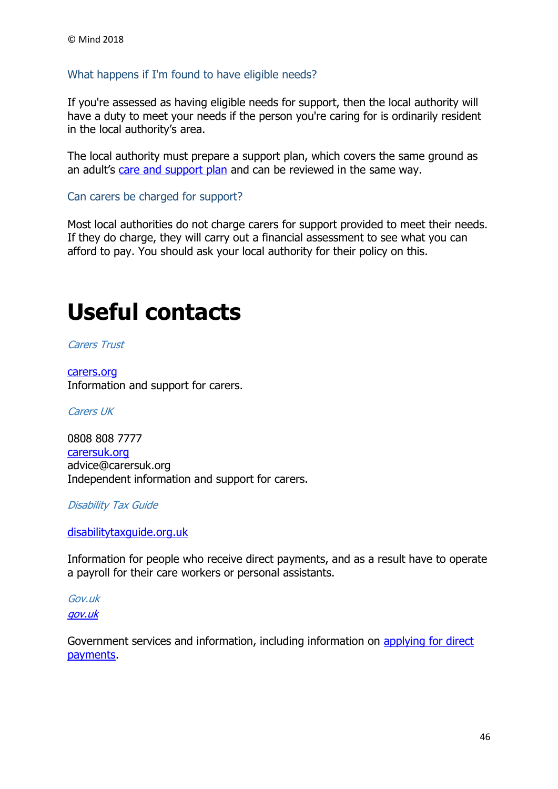#### <span id="page-45-0"></span>What happens if I'm found to have eligible needs?

If you're assessed as having eligible needs for support, then the local authority will have a duty to meet your needs if the person you're caring for is ordinarily resident in the local authority's area.

The local authority must prepare a support plan, which covers the same ground as an adult's [care and support plan](https://www.mind.org.uk/information-support/legal-rights/health-and-social-care-rights/care-and-support-planning/) and can be reviewed in the same way.

<span id="page-45-1"></span>Can carers be charged for support?

Most local authorities do not charge carers for support provided to meet their needs. If they do charge, they will carry out a financial assessment to see what you can afford to pay. You should ask your local authority for their policy on this.

# <span id="page-45-2"></span>**Useful contacts**

Carers Trust

[carers.org](http://www.carers.org/) Information and support for carers.

Carers UK

0808 808 7777 [carersuk.org](http://www.carersuk.org/) advice@carersuk.org Independent information and support for carers.

Disability Tax Guide

[disabilitytaxguide.org.uk](https://disabilitytaxguide.org.uk/)

Information for people who receive direct payments, and as a result have to operate a payroll for their care workers or personal assistants.

Gov.uk [gov.uk](http://www.gov.uk/)

Government services and information, including information on [applying for direct](https://www.gov.uk/apply-direct-payments)  [payments.](https://www.gov.uk/apply-direct-payments)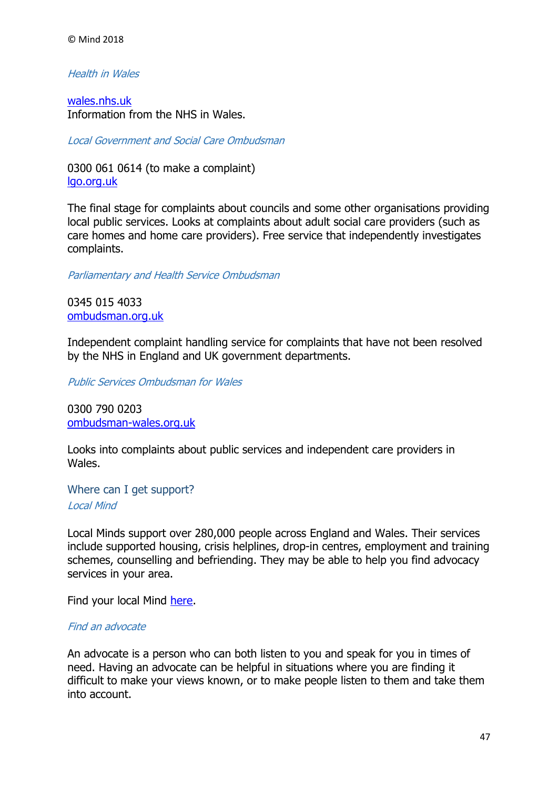#### Health in Wales

[wales.nhs.uk](http://www.wales.nhs.uk/) Information from the NHS in Wales.

Local Government and Social Care Ombudsman

0300 061 0614 (to make a complaint) [lgo.org.uk](http://www.lgo.org.uk/)

The final stage for complaints about councils and some other organisations providing local public services. Looks at complaints about adult social care providers (such as care homes and home care providers). Free service that independently investigates complaints.

Parliamentary and Health Service Ombudsman

0345 015 403[3](https://www.ombudsman.org.uk/) [ombudsman.org.uk](https://www.ombudsman.org.uk/)

Independent complaint handling service for complaints that have not been resolved by the NHS in England and UK government departments.

Public Services Ombudsman for Wales

0300 790 0203 [ombudsman-wales.org.uk](https://www.ombudsman-wales.org.uk/)

Looks into complaints about public services and independent care providers in Wales.

Where can I get support? Local Mind

Local Minds support over 280,000 people across England and Wales. Their services include supported housing, crisis helplines, drop-in centres, employment and training schemes, counselling and befriending. They may be able to help you find advocacy services in your area.

Find your local Mind [here.](http://www.mind.org.uk/information-support/local-minds/)

#### Find an advocate

An advocate is a person who can both listen to you and speak for you in times of need. Having an advocate can be helpful in situations where you are finding it difficult to make your views known, or to make people listen to them and take them into account.